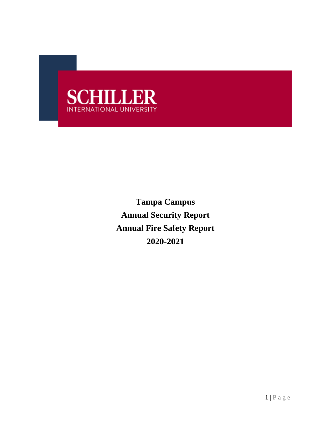

**Tampa Campus Annual Security Report Annual Fire Safety Report 2020-2021**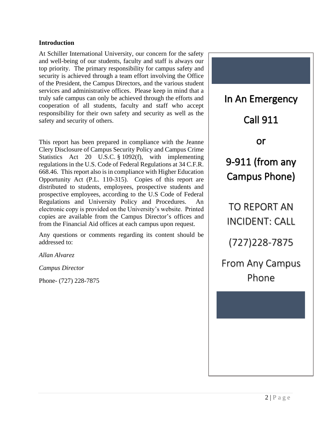### **Introduction**

At Schiller International University, our concern for the safety and well-being of our students, faculty and staff is always our top priority. The primary responsibility for campus safety and security is achieved through a team effort involving the Office of the President, the Campus Directors, and the various student services and administrative offices. Please keep in mind that a truly safe campus can only be achieved through the efforts and cooperation of all students, faculty and staff who accept responsibility for their own safety and security as well as the safety and security of others.

This report has been prepared in compliance with the Jeanne Clery Disclosure of Campus Security Policy and Campus Crime Statistics Act 20 U.S.C. § 1092(f), with implementing regulations in the U.S. Code of Federal Regulations at 34 C.F.R. 668.46. This report also is in compliance with Higher Education Opportunity Act (P.L. 110-315). Copies of this report are distributed to students, employees, prospective students and prospective employees, according to the U.S Code of Federal Regulations and University Policy and Procedures. An electronic copy is provided on the University's website. Printed copies are available from the Campus Director's offices and from the Financial Aid offices at each campus upon request.

Any questions or comments regarding its content should be addressed to:

*Allan Alvarez*

*Campus Director* 

Phone- (727) 228-7875

In An Emergency Call 911 or 9-911 (from any Campus Phone) TO REPORT AN INCIDENT: CALL (727)228-7875 From Any Campus Phone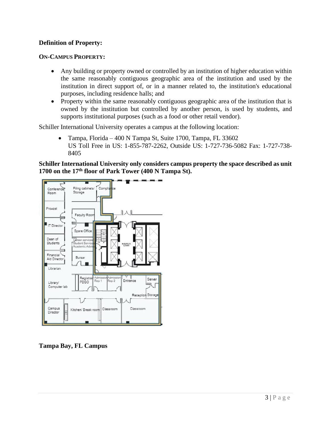## **Definition of Property:**

## **ON-CAMPUS PROPERTY:**

- Any building or property owned or controlled by an institution of higher education within the same reasonably contiguous geographic area of the institution and used by the institution in direct support of, or in a manner related to, the institution's educational purposes, including residence halls; and
- Property within the same reasonably contiguous geographic area of the institution that is owned by the institution but controlled by another person, is used by students, and supports institutional purposes (such as a food or other retail vendor).

Schiller International University operates a campus at the following location:

• Tampa, Florida – 400 N Tampa St, Suite 1700, Tampa, FL 33602 US Toll Free in US: 1-855-787-2262, Outside US: 1-727-736-5082 Fax: 1-727-738- 8405

**Schiller International University only considers campus property the space described as unit 1700 on the 17th floor of Park Tower (400 N Tampa St).** 



**Tampa Bay, FL Campus**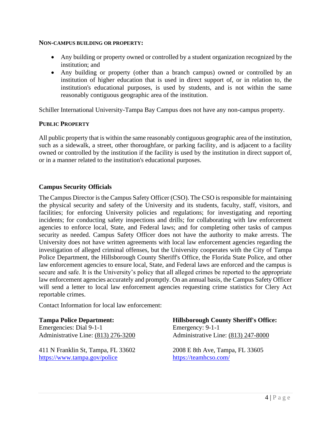#### **NON-CAMPUS BUILDING OR PROPERTY:**

- Any building or property owned or controlled by a student organization recognized by the institution; and
- Any building or property (other than a branch campus) owned or controlled by an institution of higher education that is used in direct support of, or in relation to, the institution's educational purposes, is used by students, and is not within the same reasonably contiguous geographic area of the institution.

Schiller International University-Tampa Bay Campus does not have any non-campus property.

## **PUBLIC PROPERTY**

All public property that is within the same reasonably contiguous geographic area of the institution, such as a sidewalk, a street, other thoroughfare, or parking facility, and is adjacent to a facility owned or controlled by the institution if the facility is used by the institution in direct support of, or in a manner related to the institution's educational purposes.

## **Campus Security Officials**

The Campus Director is the Campus Safety Officer (CSO). The CSO is responsible for maintaining the physical security and safety of the University and its students, faculty, staff, visitors, and facilities; for enforcing University policies and regulations; for investigating and reporting incidents; for conducting safety inspections and drills; for collaborating with law enforcement agencies to enforce local, State, and Federal laws; and for completing other tasks of campus security as needed. Campus Safety Officer does not have the authority to make arrests. The University does not have written agreements with local law enforcement agencies regarding the investigation of alleged criminal offenses, but the University cooperates with the City of Tampa Police Department, the Hillsborough County Sheriff's Office, the Florida State Police, and other law enforcement agencies to ensure local, State, and Federal laws are enforced and the campus is secure and safe. It is the University's policy that all alleged crimes be reported to the appropriate law enforcement agencies accurately and promptly. On an annual basis, the Campus Safety Officer will send a letter to local law enforcement agencies requesting crime statistics for Clery Act reportable crimes.

Contact Information for local law enforcement:

**Tampa Police Department:** Emergencies: Dial 9-1-1 Administrative Line: [\(813\) 276-3200](https://www.google.com/search?q=officer+cabale+tampa+police+department&sxsrf=AOaemvIbQb349T9aYOo7bOiGqXG7H0a6yg%3A1631750182928&source=hp&ei=JohCYfubNuSKwbkPhrqigAE&iflsig=ALs-wAMAAAAAYUKWNiAKrvwu790GC1FRbjmRkJBM5z3T&oq=officer+Cabale+tampa&gs_lcp=Cgdnd3Mtd2l6EAMYADIHCCEQChCgATIHCCEQChCgATIHCCEQChCgATIHCCEQChCgAToECCMQJzoECC4QJzoKCC4QxwEQrwEQQzoECAAQQzoOCC4QgAQQsQMQxwEQowI6BQgAEJECOg0ILhCxAxDHARCjAhBDOgcIABCxAxBDOggIABCABBCxAzoFCAAQgAQ6CAgAEIAEEMkDOgUIABCSAzoHCAAQyQMQQzoLCAAQgAQQsQMQgwE6DgguEIAEELEDEMcBENEDOgsIABCABBCxAxDJAzoICC4QgAQQsQM6CAgAELEDEIMBOgoIABCABBCHAhAUOgYIABAWEB46CAgAEBYQChAeOggIABANEAUQHjoKCAAQCBANEAoQHlCqBFimMGCsOWgAcAB4AIAB3AKIAY8akgEIMC4xNi4zLjGYAQCgAQE&sclient=gws-wiz)

411 N Franklin St, Tampa, FL 33602 <https://www.tampa.gov/police>

## **Hillsborough County Sheriff's Office:**

Emergency: 9-1-1 Administrative Line: [\(813\) 247-8000](https://www.google.com/search?q=hillsborough%20county%20sheriff%27s%20office&sxsrf=AOaemvLIsvQXiZNuB3-YE7lY9tmybclvdw:1631750395822&ei=LohCYambMN-OwbkPr7qEuAE&oq=Hillsboro&gs_lcp=Cgdnd3Mtd2l6EAMYAzIKCC4QsQMQQxCTAjIHCAAQsQMQQzIECAAQQzIECAAQQzIKCAAQgAQQhwIQFDIICC4QgAQQsQMyBwguELEDEEMyCgguEMcBEK8BEEMyBAgAEEMyBAgAEEM6BwgjELADECc6BAgjECc6DgguEIAEELEDEMcBEKMCOgsILhCABBDHARCjAjoLCAAQgAQQsQMQgwE6CAgAEIAEELEDOgUIABCABDoECC4QQzoOCC4QgAQQxwEQrwEQkwI6CwguEIAEEMcBEK8BOgcIABCABBAKOg0ILhCABBDHARDRAxAKOgcILhCxAxAKOg0ILhCxAxDHARCvARBDSgUIPBIBMkoECEEYAVCmLViWQmDSVWgCcAB4AIAB0wGIAYYNkgEFMC43LjOYAQCgAQHIAQHAAQE&sclient=gws-wiz&tbs=lf:1,lf_ui:4&tbm=lcl&rflfq=1&num=10&rldimm=12502905444638682750&lqi=CiRoaWxsc2Jvcm91Z2ggY291bnR5IHNoZXJpZmYncyBvZmZpY2UiA4gBAUiX_bzWrI-AgAhaQhAAEAEQAhADGAAYARgCGAMiJGhpbGxzYm9yb3VnaCBjb3VudHkgc2hlcmlmZidzIG9mZmljZSoKCAIQABABEAIQA5IBE3NoZXJpZmZzX2RlcGFydG1lbnSqARgQASoUIhBzaGVyaWZmJ3Mgb2ZmaWNlKAA&ved=2ahUKEwiMxtH1l4LzAhW-RDABHe8KBJMQvS56BAgQECM&rlst=f)

2008 E 8th Ave, Tampa, FL 33605 <https://teamhcso.com/>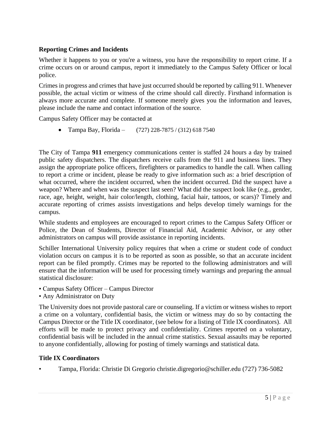## **Reporting Crimes and Incidents**

Whether it happens to you or you're a witness, you have the responsibility to report crime. If a crime occurs on or around campus, report it immediately to the Campus Safety Officer or local police.

Crimes in progress and crimes that have just occurred should be reported by calling 911. Whenever possible, the actual victim or witness of the crime should call directly. Firsthand information is always more accurate and complete. If someone merely gives you the information and leaves, please include the name and contact information of the source.

Campus Safety Officer may be contacted at

• Tampa Bay, Florida – (727) 228-7875 / (312) 618 7540

The City of Tampa **911** emergency communications center is staffed 24 hours a day by trained public safety dispatchers. The dispatchers receive calls from the 911 and business lines. They assign the appropriate police officers, firefighters or paramedics to handle the call. When calling to report a crime or incident, please be ready to give information such as: a brief description of what occurred, where the incident occurred, when the incident occurred. Did the suspect have a weapon? Where and when was the suspect last seen? What did the suspect look like (e.g., gender, race, age, height, weight, hair color/length, clothing, facial hair, tattoos, or scars)? Timely and accurate reporting of crimes assists investigations and helps develop timely warnings for the campus.

While students and employees are encouraged to report crimes to the Campus Safety Officer or Police, the Dean of Students, Director of Financial Aid, Academic Advisor, or any other administrators on campus will provide assistance in reporting incidents.

Schiller International University policy requires that when a crime or student code of conduct violation occurs on campus it is to be reported as soon as possible, so that an accurate incident report can be filed promptly. Crimes may be reported to the following administrators and will ensure that the information will be used for processing timely warnings and preparing the annual statistical disclosure:

- Campus Safety Officer Campus Director
- Any Administrator on Duty

The University does not provide pastoral care or counseling. If a victim or witness wishes to report a crime on a voluntary, confidential basis, the victim or witness may do so by contacting the Campus Director or the Title IX coordinator, (see below for a listing of Title IX coordinators). All efforts will be made to protect privacy and confidentiality. Crimes reported on a voluntary, confidential basis will be included in the annual crime statistics. Sexual assaults may be reported to anyone confidentially, allowing for posting of timely warnings and statistical data.

## **Title IX Coordinators**

• Tampa, Florida: Christie Di Gregorio christie.digregorio@schiller.edu (727) 736-5082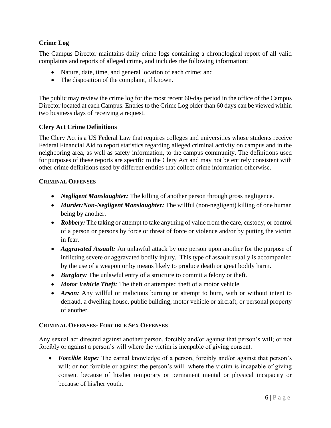## **Crime Log**

The Campus Director maintains daily crime logs containing a chronological report of all valid complaints and reports of alleged crime, and includes the following information:

- Nature, date, time, and general location of each crime; and
- The disposition of the complaint, if known.

The public may review the crime log for the most recent 60-day period in the office of the Campus Director located at each Campus. Entries to the Crime Log older than 60 days can be viewed within two business days of receiving a request.

## **Clery Act Crime Definitions**

The Clery Act is a US Federal Law that requires colleges and universities whose students receive Federal Financial Aid to report statistics regarding alleged criminal activity on campus and in the neighboring area, as well as safety information, to the campus community. The definitions used for purposes of these reports are specific to the Clery Act and may not be entirely consistent with other crime definitions used by different entities that collect crime information otherwise.

## **CRIMINAL OFFENSES**

- *Negligent Manslaughter:* The killing of another person through gross negligence.
- *Murder/Non-Negligent Manslaughter:* The willful (non-negligent) killing of one human being by another.
- *Robbery:* The taking or attempt to take anything of value from the care, custody, or control of a person or persons by force or threat of force or violence and/or by putting the victim in fear.
- *Aggravated Assault:* An unlawful attack by one person upon another for the purpose of inflicting severe or aggravated bodily injury. This type of assault usually is accompanied by the use of a weapon or by means likely to produce death or great bodily harm.
- *Burglary:* The unlawful entry of a structure to commit a felony or theft.
- *Motor Vehicle Theft:* The theft or attempted theft of a motor vehicle.
- *Arson:* Any willful or malicious burning or attempt to burn, with or without intent to defraud, a dwelling house, public building, motor vehicle or aircraft, or personal property of another.

## **CRIMINAL OFFENSES- FORCIBLE SEX OFFENSES**

Any sexual act directed against another person, forcibly and/or against that person's will; or not forcibly or against a person's will where the victim is incapable of giving consent.

• *Forcible Rape:* The carnal knowledge of a person, forcibly and/or against that person's will; or not forcible or against the person's will where the victim is incapable of giving consent because of his/her temporary or permanent mental or physical incapacity or because of his/her youth.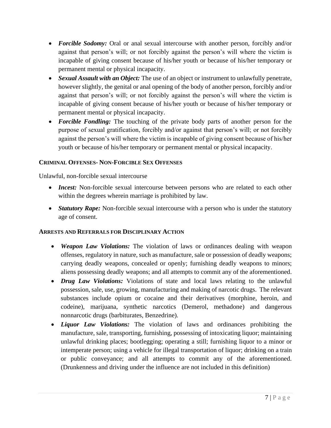- *Forcible Sodomy:* Oral or anal sexual intercourse with another person, forcibly and/or against that person's will; or not forcibly against the person's will where the victim is incapable of giving consent because of his/her youth or because of his/her temporary or permanent mental or physical incapacity.
- *Sexual Assault with an Object:* The use of an object or instrument to unlawfully penetrate, however slightly, the genital or anal opening of the body of another person, forcibly and/or against that person's will; or not forcibly against the person's will where the victim is incapable of giving consent because of his/her youth or because of his/her temporary or permanent mental or physical incapacity.
- *Forcible Fondling:* The touching of the private body parts of another person for the purpose of sexual gratification, forcibly and/or against that person's will; or not forcibly against the person's will where the victim is incapable of giving consent because of his/her youth or because of his/her temporary or permanent mental or physical incapacity.

## **CRIMINAL OFFENSES- NON-FORCIBLE SEX OFFENSES**

Unlawful, non-forcible sexual intercourse

- *Incest:* Non-forcible sexual intercourse between persons who are related to each other within the degrees wherein marriage is prohibited by law.
- *Statutory Rape:* Non-forcible sexual intercourse with a person who is under the statutory age of consent.

## **ARRESTS AND REFERRALS FOR DISCIPLINARY ACTION**

- *Weapon Law Violations:* The violation of laws or ordinances dealing with weapon offenses, regulatory in nature, such as manufacture, sale or possession of deadly weapons; carrying deadly weapons, concealed or openly; furnishing deadly weapons to minors; aliens possessing deadly weapons; and all attempts to commit any of the aforementioned.
- *Drug Law Violations:* Violations of state and local laws relating to the unlawful possession, sale, use, growing, manufacturing and making of narcotic drugs. The relevant substances include opium or cocaine and their derivatives (morphine, heroin, and codeine), marijuana, synthetic narcotics (Demerol, methadone) and dangerous nonnarcotic drugs (barbiturates, Benzedrine).
- *Liquor Law Violations:* The violation of laws and ordinances prohibiting the manufacture, sale, transporting, furnishing, possessing of intoxicating liquor; maintaining unlawful drinking places; bootlegging; operating a still; furnishing liquor to a minor or intemperate person; using a vehicle for illegal transportation of liquor; drinking on a train or public conveyance; and all attempts to commit any of the aforementioned. (Drunkenness and driving under the influence are not included in this definition)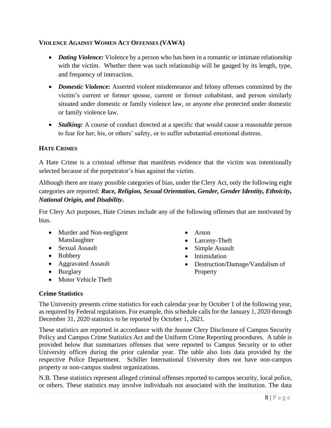## **VIOLENCE AGAINST WOMEN ACT OFFENSES (VAWA)**

- *Dating Violence:* Violence by a person who has been in a romantic or intimate relationship with the victim. Whether there was such relationship will be gauged by its length, type, and frequency of interaction.
- *Domestic Violence:* Asserted violent misdemeanor and felony offenses committed by the victim's current or former spouse, current or former cohabitant, and person similarly situated under domestic or family violence law, or anyone else protected under domestic or family violence law.
- *Stalking:* A course of conduct directed at a specific that would cause a reasonable person to fear for her, his, or others' safety, or to suffer substantial emotional distress.

## **HATE CRIMES**

A Hate Crime is a criminal offense that manifests evidence that the victim was intentionally selected because of the perpetrator's bias against the victim.

Although there are many possible categories of bias, under the Clery Act, only the following eight categories are reported: *Race, Religion, Sexual Orientation, Gender, Gender Identity, Ethnicity, National Origin, and Disability***.**

For Clery Act purposes, Hate Crimes include any of the following offenses that are motivated by bias.

- Murder and Non-negligent Manslaughter
- Sexual Assault
- Robbery
- Aggravated Assault
- Burglary
- Motor Vehicle Theft
- Arson
- Larceny-Theft
- Simple Assault
- Intimidation
- Destruction/Damage/Vandalism of Property

### **Crime Statistics**

The University presents crime statistics for each calendar year by October 1 of the following year, as required by Federal regulations. For example, this schedule calls for the January 1, 2020 through December 31, 2020 statistics to be reported by October 1, 2021.

These statistics are reported in accordance with the Jeanne Clery Disclosure of Campus Security Policy and Campus Crime Statistics Act and the Uniform Crime Reporting procedures. A table is provided below that summarizes offenses that were reported to Campus Security or to other University offices during the prior calendar year. The table also lists data provided by the respective Police Department. Schiller International University does not have non-campus property or non-campus student organizations.

N.B. These statistics represent alleged criminal offenses reported to campus security, local police, or others. These statistics may involve individuals not associated with the institution. The data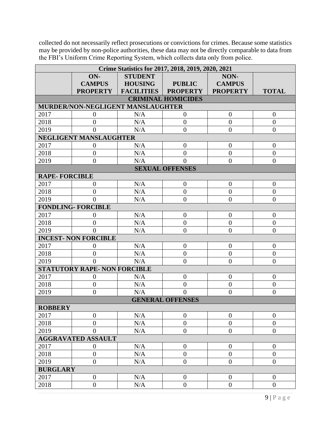collected do not necessarily reflect prosecutions or convictions for crimes. Because some statistics may be provided by non-police authorities, these data may not be directly comparable to data from the FBI's Uniform Crime Reporting System, which collects data only from police.

| Crime Statistics for 2017, 2018, 2019, 2020, 2021 |                               |                                   |                           |                  |                  |  |
|---------------------------------------------------|-------------------------------|-----------------------------------|---------------------------|------------------|------------------|--|
|                                                   | ON-                           | <b>STUDENT</b>                    |                           | NON-             |                  |  |
|                                                   | <b>CAMPUS</b>                 | <b>HOUSING</b>                    | <b>PUBLIC</b>             | <b>CAMPUS</b>    |                  |  |
|                                                   | <b>PROPERTY</b>               | <b>FACILITIES</b>                 | <b>PROPERTY</b>           | <b>PROPERTY</b>  | <b>TOTAL</b>     |  |
|                                                   |                               |                                   | <b>CRIMINAL HOMICIDES</b> |                  |                  |  |
|                                                   |                               | MURDER/NON-NEGLIGENT MANSLAUGHTER |                           |                  |                  |  |
| 2017                                              | $\theta$                      | N/A                               | $\overline{0}$            | $\overline{0}$   | $\overline{0}$   |  |
| 2018                                              | $\overline{0}$                | N/A                               | $\overline{0}$            | $\overline{0}$   | $\overline{0}$   |  |
| 2019                                              | $\overline{0}$                | N/A                               | $\boldsymbol{0}$          | $\boldsymbol{0}$ | $\overline{0}$   |  |
|                                                   | <b>NEGLIGENT MANSLAUGHTER</b> |                                   |                           |                  |                  |  |
| 2017                                              | $\theta$                      | N/A                               | $\overline{0}$            | $\overline{0}$   | $\overline{0}$   |  |
| 2018                                              | $\overline{0}$                | N/A                               | $\overline{0}$            | $\overline{0}$   | $\overline{0}$   |  |
| 2019                                              | $\overline{0}$                | N/A                               | $\theta$                  | $\overline{0}$   | $\overline{0}$   |  |
|                                                   |                               |                                   | <b>SEXUAL OFFENSES</b>    |                  |                  |  |
| <b>RAPE-FORCIBLE</b>                              |                               |                                   |                           |                  |                  |  |
| 2017                                              | $\overline{0}$                | N/A                               | $\overline{0}$            | $\overline{0}$   | $\overline{0}$   |  |
| 2018                                              | $\overline{0}$                | N/A                               | $\boldsymbol{0}$          | $\overline{0}$   | $\overline{0}$   |  |
| 2019                                              | $\Omega$                      | N/A                               | $\overline{0}$            | $\overline{0}$   | $\overline{0}$   |  |
|                                                   | <b>FONDLING- FORCIBLE</b>     |                                   |                           |                  |                  |  |
| 2017                                              | $\theta$                      | N/A                               | $\theta$                  | $\overline{0}$   | $\theta$         |  |
| 2018                                              | $\overline{0}$                | N/A                               | $\overline{0}$            | $\overline{0}$   | $\overline{0}$   |  |
| 2019                                              | $\theta$                      | N/A                               | $\overline{0}$            | $\overline{0}$   | $\overline{0}$   |  |
|                                                   | <b>INCEST- NON FORCIBLE</b>   |                                   |                           |                  |                  |  |
| 2017                                              | $\theta$                      | N/A                               | $\overline{0}$            | $\overline{0}$   | $\theta$         |  |
| 2018                                              | $\overline{0}$                | N/A                               | $\overline{0}$            | $\boldsymbol{0}$ | $\boldsymbol{0}$ |  |
| 2019                                              | $\theta$                      | N/A                               | $\theta$                  | $\overline{0}$   | $\overline{0}$   |  |
| <b>STATUTORY RAPE- NON FORCIBLE</b>               |                               |                                   |                           |                  |                  |  |
| 2017                                              | $\theta$                      | N/A                               | $\overline{0}$            | $\boldsymbol{0}$ | $\theta$         |  |
| 2018                                              | $\overline{0}$                | N/A                               | $\overline{0}$            | $\overline{0}$   | $\overline{0}$   |  |
| 2019                                              | $\overline{0}$                | N/A                               | $\theta$                  | $\overline{0}$   | $\overline{0}$   |  |
| <b>GENERAL OFFENSES</b>                           |                               |                                   |                           |                  |                  |  |
| <b>ROBBERY</b>                                    |                               |                                   |                           |                  |                  |  |
| 2017                                              | $\theta$                      | N/A                               | $\boldsymbol{0}$          | $\overline{0}$   | $\theta$         |  |
| 2018                                              | $\overline{0}$                | N/A                               | $\overline{0}$            | $\overline{0}$   | $\overline{0}$   |  |
| 2019                                              | $\overline{0}$                | N/A                               | $\overline{0}$            | $\overline{0}$   | $\overline{0}$   |  |
| <b>AGGRAVATED ASSAULT</b>                         |                               |                                   |                           |                  |                  |  |
| 2017                                              | $\boldsymbol{0}$              | N/A                               | $\overline{0}$            | $\boldsymbol{0}$ | $\overline{0}$   |  |
| 2018                                              | $\overline{0}$                | N/A                               | $\overline{0}$            | $\boldsymbol{0}$ | $\boldsymbol{0}$ |  |
| 2019                                              | $\overline{0}$                | N/A                               | $\overline{0}$            | $\overline{0}$   | $\overline{0}$   |  |
| <b>BURGLARY</b>                                   |                               |                                   |                           |                  |                  |  |
| 2017                                              | $\boldsymbol{0}$              | N/A                               | $\overline{0}$            | $\boldsymbol{0}$ | $\theta$         |  |
| 2018                                              | $\boldsymbol{0}$              | N/A                               | $\overline{0}$            | $\boldsymbol{0}$ | $\boldsymbol{0}$ |  |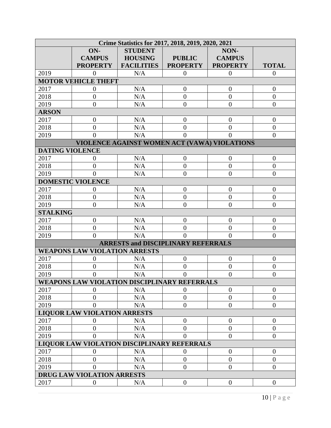| Crime Statistics for 2017, 2018, 2019, 2020, 2021 |                                     |                                              |                 |                                              |                  |  |
|---------------------------------------------------|-------------------------------------|----------------------------------------------|-----------------|----------------------------------------------|------------------|--|
|                                                   | ON-                                 | <b>STUDENT</b>                               |                 | NON-                                         |                  |  |
|                                                   | <b>CAMPUS</b>                       | <b>HOUSING</b>                               | <b>PUBLIC</b>   | <b>CAMPUS</b>                                |                  |  |
|                                                   | <b>PROPERTY</b>                     | <b>FACILITIES</b>                            | <b>PROPERTY</b> | <b>PROPERTY</b>                              | <b>TOTAL</b>     |  |
| 2019                                              | $\overline{0}$                      | N/A                                          | $\overline{0}$  | $\overline{0}$                               | $\overline{0}$   |  |
|                                                   | <b>MOTOR VEHICLE THEFT</b>          |                                              |                 |                                              |                  |  |
| 2017                                              | $\overline{0}$                      | N/A                                          | $\theta$        | $\overline{0}$                               | $\theta$         |  |
| 2018                                              | $\overline{0}$                      | N/A                                          | $\overline{0}$  | $\mathbf{0}$                                 | $\boldsymbol{0}$ |  |
| 2019                                              | $\overline{0}$                      | N/A                                          | $\overline{0}$  | $\overline{0}$                               | $\overline{0}$   |  |
| <b>ARSON</b>                                      |                                     |                                              |                 |                                              |                  |  |
| 2017                                              | $\boldsymbol{0}$                    | N/A                                          | $\overline{0}$  | $\boldsymbol{0}$                             | $\theta$         |  |
| 2018                                              | $\overline{0}$                      | N/A                                          | $\overline{0}$  | $\overline{0}$                               | $\boldsymbol{0}$ |  |
| 2019                                              | $\theta$                            | N/A                                          | $\Omega$        | $\theta$                                     | $\theta$         |  |
|                                                   |                                     |                                              |                 | VIOLENCE AGAINST WOMEN ACT (VAWA) VIOLATIONS |                  |  |
| <b>DATING VIOLENCE</b>                            |                                     |                                              |                 |                                              |                  |  |
| 2017                                              | $\Omega$                            | N/A                                          | $\overline{0}$  | $\theta$                                     | $\theta$         |  |
| 2018                                              | $\overline{0}$                      | N/A                                          | $\overline{0}$  | $\overline{0}$                               | $\boldsymbol{0}$ |  |
| 2019                                              | $\Omega$                            | N/A                                          | $\theta$        | $\theta$                                     | $\overline{0}$   |  |
|                                                   | <b>DOMESTIC VIOLENCE</b>            |                                              |                 |                                              |                  |  |
| 2017                                              | $\overline{0}$                      | N/A                                          | $\overline{0}$  | $\theta$                                     | $\overline{0}$   |  |
| 2018                                              | $\overline{0}$                      | N/A                                          | $\overline{0}$  | $\overline{0}$                               | $\overline{0}$   |  |
| 2019                                              | $\overline{0}$                      | N/A                                          | $\theta$        | $\overline{0}$                               | $\overline{0}$   |  |
| <b>STALKING</b>                                   |                                     |                                              |                 |                                              |                  |  |
| 2017                                              | $\boldsymbol{0}$                    | N/A                                          | $\overline{0}$  | $\boldsymbol{0}$                             | $\mathbf{0}$     |  |
| 2018                                              | $\overline{0}$                      | N/A                                          | $\overline{0}$  | $\overline{0}$                               | $\boldsymbol{0}$ |  |
| 2019                                              | $\theta$                            | N/A                                          | $\Omega$        | $\Omega$                                     | $\overline{0}$   |  |
| <b>ARRESTS and DISCIPLINARY REFERRALS</b>         |                                     |                                              |                 |                                              |                  |  |
| <b>WEAPONS LAW VIOLATION ARRESTS</b>              |                                     |                                              |                 |                                              |                  |  |
| 2017                                              | $\theta$                            | N/A                                          | $\overline{0}$  | $\theta$                                     | $\theta$         |  |
| 2018                                              | $\theta$                            | N/A                                          | $\theta$        | $\overline{0}$                               | $\boldsymbol{0}$ |  |
| 2019                                              | 0                                   | N/A                                          | 0               | $\overline{0}$                               | $\overline{0}$   |  |
|                                                   |                                     | WEAPONS LAW VIOLATION DISCIPLINARY REFERRALS |                 |                                              |                  |  |
| 2017                                              | $\Omega$                            | N/A                                          | 0               | $\theta$                                     | $\theta$         |  |
| 2018                                              | $\theta$                            | N/A                                          | $\theta$        | $\overline{0}$                               | $\overline{0}$   |  |
| 2019                                              | $\theta$                            | N/A                                          | $\theta$        | $\overline{0}$                               | $\overline{0}$   |  |
|                                                   | <b>LIQUOR LAW VIOLATION ARRESTS</b> |                                              |                 |                                              |                  |  |
| 2017                                              | 0                                   | N/A                                          | $\theta$        | $\overline{0}$                               | $\overline{0}$   |  |
| 2018                                              | $\overline{0}$                      | N/A                                          | $\overline{0}$  | $\boldsymbol{0}$                             | $\overline{0}$   |  |
| 2019                                              | $\Omega$                            | N/A                                          | $\theta$        | $\overline{0}$                               | $\Omega$         |  |
|                                                   |                                     | LIQUOR LAW VIOLATION DISCIPLINARY REFERRALS  |                 |                                              |                  |  |
| 2017                                              | 0                                   | N/A                                          | $\theta$        | $\boldsymbol{0}$                             | $\theta$         |  |
| 2018                                              | $\theta$                            | N/A                                          | $\theta$        | $\overline{0}$                               | $\overline{0}$   |  |
| 2019                                              | 0                                   | N/A                                          | $\Omega$        | $\overline{0}$                               | $\overline{0}$   |  |
|                                                   | DRUG LAW VIOLATION ARRESTS          |                                              |                 |                                              |                  |  |
| 2017                                              | $\boldsymbol{0}$                    | N/A                                          | $\theta$        | $\boldsymbol{0}$                             | $\mathbf{0}$     |  |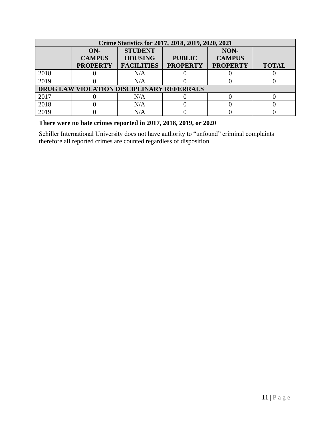| Crime Statistics for 2017, 2018, 2019, 2020, 2021 |                                           |                                                       |                                  |                                          |              |  |
|---------------------------------------------------|-------------------------------------------|-------------------------------------------------------|----------------------------------|------------------------------------------|--------------|--|
|                                                   | $ON-$<br><b>CAMPUS</b><br><b>PROPERTY</b> | <b>STUDENT</b><br><b>HOUSING</b><br><b>FACILITIES</b> | <b>PUBLIC</b><br><b>PROPERTY</b> | NON-<br><b>CAMPUS</b><br><b>PROPERTY</b> | <b>TOTAL</b> |  |
| 2018                                              |                                           | N/A                                                   |                                  |                                          |              |  |
| 2019                                              |                                           | N/A                                                   |                                  |                                          |              |  |
|                                                   | DRUG LAW VIOLATION DISCIPLINARY REFERRALS |                                                       |                                  |                                          |              |  |
| 2017                                              |                                           | N/A                                                   |                                  |                                          |              |  |
| 2018                                              |                                           | N/A                                                   |                                  |                                          |              |  |
| 2019                                              |                                           | N/A                                                   |                                  |                                          |              |  |

# **There were no hate crimes reported in 2017, 2018, 2019, or 2020**

Schiller International University does not have authority to "unfound" criminal complaints therefore all reported crimes are counted regardless of disposition.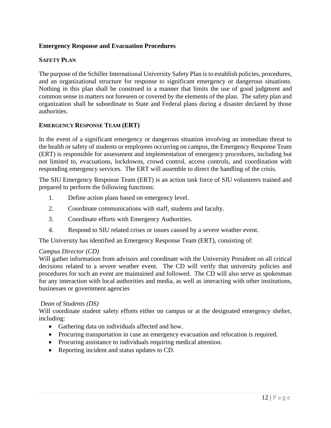## **Emergency Response and Evacuation Procedures**

## **SAFETY PLAN**

The purpose of the Schiller International University Safety Plan is to establish policies, procedures, and an organizational structure for response to significant emergency or dangerous situations. Nothing in this plan shall be construed in a manner that limits the use of good judgment and common sense in matters not foreseen or covered by the elements of the plan. The safety plan and organization shall be subordinate to State and Federal plans during a disaster declared by those authorities.

## **EMERGENCY RESPONSE TEAM (ERT)**

In the event of a significant emergency or dangerous situation involving an immediate threat to the health or safety of students or employees occurring on campus, the Emergency Response Team (ERT) is responsible for assessment and implementation of emergency procedures, including but not limited to, evacuations, lockdowns, crowd control, access controls, and coordination with responding emergency services. The ERT will assemble to direct the handling of the crisis.

The SIU Emergency Response Team (ERT) is an action task force of SIU volunteers trained and prepared to perform the following functions:

- 1. Define action plans based on emergency level.
- 2. Coordinate communications with staff, students and faculty.
- 3. Coordinate efforts with Emergency Authorities.
- 4. Respond to SIU related crises or issues caused by a severe weather event.

The University has identified an Emergency Response Team (ERT), consisting of:

### *Campus Director (CD)*

Will gather information from advisors and coordinate with the University President on all critical decisions related to a severe weather event. The CD will verify that university policies and procedures for such an event are maintained and followed. The CD will also serve as spokesman for any interaction with local authorities and media, as well as interacting with other institutions, businesses or government agencies

### *Dean of Students (DS)*

Will coordinate student safety efforts either on campus or at the designated emergency shelter, including:

- Gathering data on individuals affected and how.
- Procuring transportation in case an emergency evacuation and relocation is required.
- Procuring assistance to individuals requiring medical attention.
- Reporting incident and status updates to CD.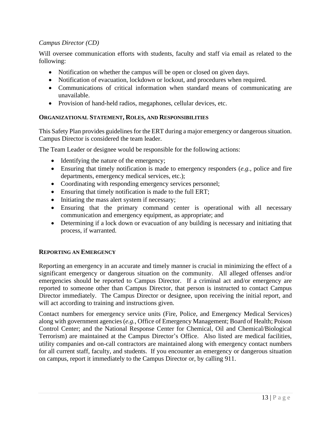## *Campus Director (CD)*

Will oversee communication efforts with students, faculty and staff via email as related to the following:

- Notification on whether the campus will be open or closed on given days.
- Notification of evacuation, lockdown or lockout, and procedures when required.
- Communications of critical information when standard means of communicating are unavailable.
- Provision of hand-held radios, megaphones, cellular devices, etc.

## **ORGANIZATIONAL STATEMENT, ROLES, AND RESPONSIBILITIES**

This Safety Plan provides guidelines for the ERT during a major emergency or dangerous situation. Campus Director is considered the team leader.

The Team Leader or designee would be responsible for the following actions:

- Identifying the nature of the emergency;
- Ensuring that timely notification is made to emergency responders (*e.g.*, police and fire departments, emergency medical services, etc.);
- Coordinating with responding emergency services personnel;
- Ensuring that timely notification is made to the full ERT;
- Initiating the mass alert system if necessary;
- Ensuring that the primary command center is operational with all necessary communication and emergency equipment, as appropriate; and
- Determining if a lock down or evacuation of any building is necessary and initiating that process, if warranted.

## **REPORTING AN EMERGENCY**

Reporting an emergency in an accurate and timely manner is crucial in minimizing the effect of a significant emergency or dangerous situation on the community. All alleged offenses and/or emergencies should be reported to Campus Director. If a criminal act and/or emergency are reported to someone other than Campus Director, that person is instructed to contact Campus Director immediately. The Campus Director or designee, upon receiving the initial report, and will act according to training and instructions given.

Contact numbers for emergency service units (Fire, Police, and Emergency Medical Services) along with government agencies (*e.g.*, Office of Emergency Management; Board of Health; Poison Control Center; and the National Response Center for Chemical, Oil and Chemical/Biological Terrorism) are maintained at the Campus Director's Office. Also listed are medical facilities, utility companies and on-call contractors are maintained along with emergency contact numbers for all current staff, faculty, and students. If you encounter an emergency or dangerous situation on campus, report it immediately to the Campus Director or, by calling 911.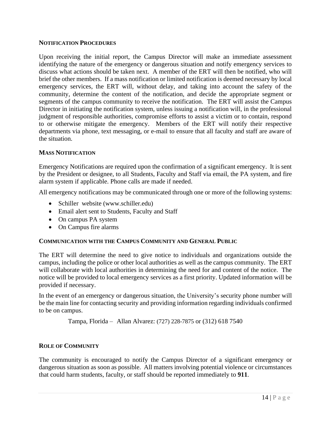## **NOTIFICATION PROCEDURES**

Upon receiving the initial report, the Campus Director will make an immediate assessment identifying the nature of the emergency or dangerous situation and notify emergency services to discuss what actions should be taken next. A member of the ERT will then be notified, who will brief the other members. If a mass notification or limited notification is deemed necessary by local emergency services, the ERT will, without delay, and taking into account the safety of the community, determine the content of the notification, and decide the appropriate segment or segments of the campus community to receive the notification. The ERT will assist the Campus Director in initiating the notification system, unless issuing a notification will, in the professional judgment of responsible authorities, compromise efforts to assist a victim or to contain, respond to or otherwise mitigate the emergency. Members of the ERT will notify their respective departments via phone, text messaging, or e-mail to ensure that all faculty and staff are aware of the situation.

## **MASS NOTIFICATION**

Emergency Notifications are required upon the confirmation of a significant emergency. It is sent by the President or designee, to all Students, Faculty and Staff via email, the PA system, and fire alarm system if applicable. Phone calls are made if needed.

All emergency notifications may be communicated through one or more of the following systems:

- Schiller website (www.schiller.edu)
- Email alert sent to Students, Faculty and Staff
- On campus PA system
- On Campus fire alarms

## **COMMUNICATION WITH THE CAMPUS COMMUNITY AND GENERAL PUBLIC**

The ERT will determine the need to give notice to individuals and organizations outside the campus, including the police or other local authorities as well as the campus community. The ERT will collaborate with local authorities in determining the need for and content of the notice. The notice will be provided to local emergency services as a first priority. Updated information will be provided if necessary.

In the event of an emergency or dangerous situation, the University's security phone number will be the main line for contacting security and providing information regarding individuals confirmed to be on campus.

Tampa, Florida – Allan Alvarez: (727) 228-7875 or (312) 618 7540

## **ROLE OF COMMUNITY**

The community is encouraged to notify the Campus Director of a significant emergency or dangerous situation as soon as possible. All matters involving potential violence or circumstances that could harm students, faculty, or staff should be reported immediately to **911**.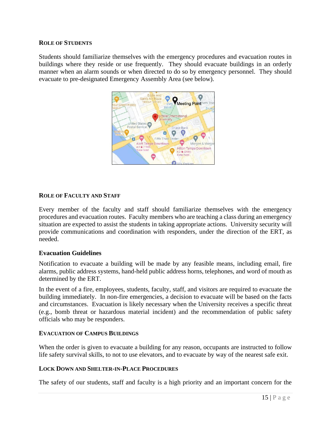#### **ROLE OF STUDENTS**

Students should familiarize themselves with the emergency procedures and evacuation routes in buildings where they reside or use frequently. They should evacuate buildings in an orderly manner when an alarm sounds or when directed to do so by emergency personnel. They should evacuate to pre-designated Emergency Assembly Area (see below).



### **ROLE OF FACULTY AND STAFF**

Every member of the faculty and staff should familiarize themselves with the emergency procedures and evacuation routes. Faculty members who are teaching a class during an emergency situation are expected to assist the students in taking appropriate actions. University security will provide communications and coordination with responders, under the direction of the ERT, as needed.

### **Evacuation Guidelines**

Notification to evacuate a building will be made by any feasible means, including email, fire alarms, public address systems, hand-held public address horns, telephones, and word of mouth as determined by the ERT.

In the event of a fire, employees, students, faculty, staff, and visitors are required to evacuate the building immediately. In non-fire emergencies, a decision to evacuate will be based on the facts and circumstances. Evacuation is likely necessary when the University receives a specific threat (e.g., bomb threat or hazardous material incident) and the recommendation of public safety officials who may be responders.

#### **EVACUATION OF CAMPUS BUILDINGS**

When the order is given to evacuate a building for any reason, occupants are instructed to follow life safety survival skills, to not to use elevators, and to evacuate by way of the nearest safe exit.

#### **LOCK DOWN AND SHELTER-IN-PLACE PROCEDURES**

The safety of our students, staff and faculty is a high priority and an important concern for the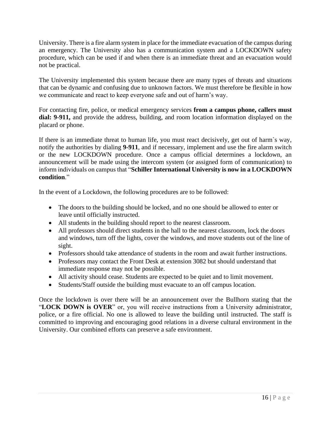University. There is a fire alarm system in place for the immediate evacuation of the campus during an emergency. The University also has a communication system and a LOCKDOWN safety procedure, which can be used if and when there is an immediate threat and an evacuation would not be practical.

The University implemented this system because there are many types of threats and situations that can be dynamic and confusing due to unknown factors. We must therefore be flexible in how we communicate and react to keep everyone safe and out of harm's way.

For contacting fire, police, or medical emergency services **from a campus phone, callers must dial: 9-911,** and provide the address, building, and room location information displayed on the placard or phone.

If there is an immediate threat to human life, you must react decisively, get out of harm`s way, notify the authorities by dialing **9-911**, and if necessary, implement and use the fire alarm switch or the new LOCKDOWN procedure. Once a campus official determines a lockdown, an announcement will be made using the intercom system (or assigned form of communication) to inform individuals on campus that "**Schiller International University is now in a LOCKDOWN condition**."

In the event of a Lockdown, the following procedures are to be followed:

- The doors to the building should be locked, and no one should be allowed to enter or leave until officially instructed.
- All students in the building should report to the nearest classroom.
- All professors should direct students in the hall to the nearest classroom, lock the doors and windows, turn off the lights, cover the windows, and move students out of the line of sight.
- Professors should take attendance of students in the room and await further instructions.
- Professors may contact the Front Desk at extension 3082 but should understand that immediate response may not be possible.
- All activity should cease. Students are expected to be quiet and to limit movement.
- Students/Staff outside the building must evacuate to an off campus location.

Once the lockdown is over there will be an announcement over the Bullhorn stating that the "**LOCK DOWN is OVER**" or, you will receive instructions from a University administrator, police, or a fire official. No one is allowed to leave the building until instructed. The staff is committed to improving and encouraging good relations in a diverse cultural environment in the University. Our combined efforts can preserve a safe environment.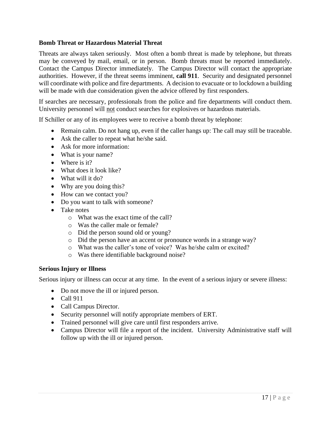## **Bomb Threat or Hazardous Material Threat**

Threats are always taken seriously. Most often a bomb threat is made by telephone, but threats may be conveyed by mail, email, or in person. Bomb threats must be reported immediately. Contact the Campus Director immediately. The Campus Director will contact the appropriate authorities. However, if the threat seems imminent, **call 911**. Security and designated personnel will coordinate with police and fire departments. A decision to evacuate or to lockdown a building will be made with due consideration given the advice offered by first responders.

If searches are necessary, professionals from the police and fire departments will conduct them. University personnel will not conduct searches for explosives or hazardous materials.

If Schiller or any of its employees were to receive a bomb threat by telephone:

- Remain calm. Do not hang up, even if the caller hangs up: The call may still be traceable.
- Ask the caller to repeat what he/she said.
- Ask for more information:
- What is your name?
- Where is it?
- What does it look like?
- What will it do?
- Why are you doing this?
- How can we contact you?
- Do you want to talk with someone?
- Take notes
	- o What was the exact time of the call?
	- o Was the caller male or female?
	- o Did the person sound old or young?
	- o Did the person have an accent or pronounce words in a strange way?
	- o What was the caller's tone of voice? Was he/she calm or excited?
	- o Was there identifiable background noise?

### **Serious Injury or Illness**

Serious injury or illness can occur at any time. In the event of a serious injury or severe illness:

- Do not move the ill or injured person.
- $\bullet$  Call 911
- Call Campus Director.
- Security personnel will notify appropriate members of ERT.
- Trained personnel will give care until first responders arrive.
- Campus Director will file a report of the incident. University Administrative staff will follow up with the ill or injured person.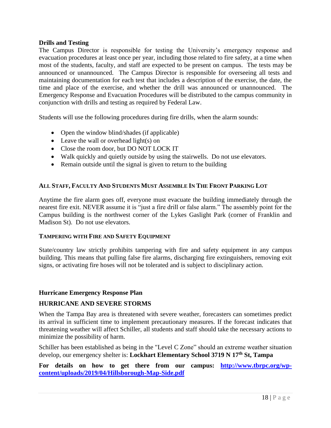## **Drills and Testing**

The Campus Director is responsible for testing the University's emergency response and evacuation procedures at least once per year, including those related to fire safety, at a time when most of the students, faculty, and staff are expected to be present on campus. The tests may be announced or unannounced. The Campus Director is responsible for overseeing all tests and maintaining documentation for each test that includes a description of the exercise, the date, the time and place of the exercise, and whether the drill was announced or unannounced. The Emergency Response and Evacuation Procedures will be distributed to the campus community in conjunction with drills and testing as required by Federal Law.

Students will use the following procedures during fire drills, when the alarm sounds:

- Open the window blind/shades (if applicable)
- Leave the wall or overhead light(s) on
- Close the room door, but DO NOT LOCK IT
- Walk quickly and quietly outside by using the stairwells. Do not use elevators.
- Remain outside until the signal is given to return to the building

## ALL STAFF, FACULTY AND STUDENTS MUST ASSEMBLE IN THE FRONT PARKING LOT

Anytime the fire alarm goes off, everyone must evacuate the building immediately through the nearest fire exit. NEVER assume it is "just a fire drill or false alarm." The assembly point for the Campus building is the northwest corner of the Lykes Gaslight Park (corner of Franklin and Madison St). Do not use elevators.

### **TAMPERING WITH FIRE AND SAFETY EQUIPMENT**

State/country law strictly prohibits tampering with fire and safety equipment in any campus building. This means that pulling false fire alarms, discharging fire extinguishers, removing exit signs, or activating fire hoses will not be tolerated and is subject to disciplinary action.

## **Hurricane Emergency Response Plan**

## **HURRICANE AND SEVERE STORMS**

When the Tampa Bay area is threatened with severe weather, forecasters can sometimes predict its arrival in sufficient time to implement precautionary measures. If the forecast indicates that threatening weather will affect Schiller, all students and staff should take the necessary actions to minimize the possibility of harm.

Schiller has been established as being in the "Level C Zone" should an extreme weather situation develop, our emergency shelter is: **Lockhart Elementary School 3719 N 17th St, Tampa**

For details on how to get there from our campus: **[http://www.tbrpc.org/wp](http://www.tbrpc.org/wp-content/uploads/2019/04/Hillsborough-Map-Side.pdf)[content/uploads/2019/04/Hillsborough-Map-Side.pdf](http://www.tbrpc.org/wp-content/uploads/2019/04/Hillsborough-Map-Side.pdf)**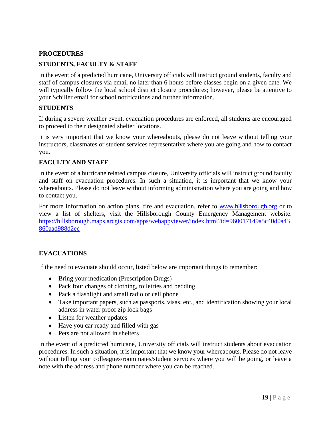## **PROCEDURES**

## **STUDENTS, FACULTY & STAFF**

In the event of a predicted hurricane, University officials will instruct ground students, faculty and staff of campus closures via email no later than 6 hours before classes begin on a given date. We will typically follow the local school district closure procedures; however, please be attentive to your Schiller email for school notifications and further information.

## **STUDENTS**

If during a severe weather event, evacuation procedures are enforced, all students are encouraged to proceed to their designated shelter locations.

It is very important that we know your whereabouts, please do not leave without telling your instructors, classmates or student services representative where you are going and how to contact you.

## **FACULTY AND STAFF**

In the event of a hurricane related campus closure, University officials will instruct ground faculty and staff on evacuation procedures. In such a situation, it is important that we know your whereabouts. Please do not leave without informing administration where you are going and how to contact you.

For more information on action plans, fire and evacuation, refer to [www.hillsborough.org](http://www.hillsborough.org/) or to view a list of shelters, visit the Hillsborough County Emergency Management website: [https://hillsborough.maps.arcgis.com/apps/webappviewer/index.html?id=960017149a5c40d0a43](https://hillsborough.maps.arcgis.com/apps/webappviewer/index.html?id=960017149a5c40d0a43860aad988d2ec) [860aad988d2ec](https://hillsborough.maps.arcgis.com/apps/webappviewer/index.html?id=960017149a5c40d0a43860aad988d2ec)

## **EVACUATIONS**

If the need to evacuate should occur, listed below are important things to remember:

- Bring your medication (Prescription Drugs)
- Pack four changes of clothing, toiletries and bedding
- Pack a flashlight and small radio or cell phone
- Take important papers, such as passports, visas, etc., and identification showing your local address in water proof zip lock bags
- Listen for weather updates
- Have you car ready and filled with gas
- Pets are not allowed in shelters

In the event of a predicted hurricane, University officials will instruct students about evacuation procedures. In such a situation, it is important that we know your whereabouts. Please do not leave without telling your colleagues/roommates/student services where you will be going, or leave a note with the address and phone number where you can be reached.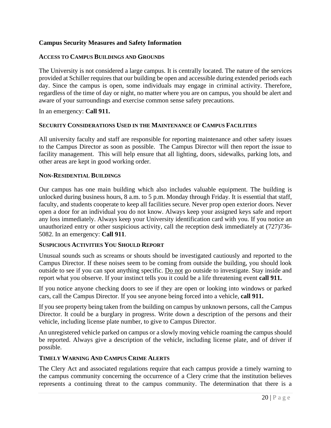## **Campus Security Measures and Safety Information**

### **ACCESS TO CAMPUS BUILDINGS AND GROUNDS**

The University is not considered a large campus. It is centrally located. The nature of the services provided at Schiller requires that our building be open and accessible during extended periods each day. Since the campus is open, some individuals may engage in criminal activity. Therefore, regardless of the time of day or night, no matter where you are on campus, you should be alert and aware of your surroundings and exercise common sense safety precautions.

In an emergency: **Call 911.**

### **SECURITY CONSIDERATIONS USED IN THE MAINTENANCE OF CAMPUS FACILITIES**

All university faculty and staff are responsible for reporting maintenance and other safety issues to the Campus Director as soon as possible. The Campus Director will then report the issue to facility management. This will help ensure that all lighting, doors, sidewalks, parking lots, and other areas are kept in good working order.

## **NON-RESIDENTIAL BUILDINGS**

Our campus has one main building which also includes valuable equipment. The building is unlocked during business hours, 8 a.m. to 5 p.m. Monday through Friday. It is essential that staff, faculty, and students cooperate to keep all facilities secure. Never prop open exterior doors. Never open a door for an individual you do not know. Always keep your assigned keys safe and report any loss immediately. Always keep your University identification card with you. If you notice an unauthorized entry or other suspicious activity, call the reception desk immediately at (727)736- 5082. In an emergency: **Call 911**.

### **SUSPICIOUS ACTIVITIES YOU SHOULD REPORT**

Unusual sounds such as screams or shouts should be investigated cautiously and reported to the Campus Director. If these noises seem to be coming from outside the building, you should look outside to see if you can spot anything specific. Do not go outside to investigate. Stay inside and report what you observe. If your instinct tells you it could be a life threatening event **call 911.**

If you notice anyone checking doors to see if they are open or looking into windows or parked cars, call the Campus Director. If you see anyone being forced into a vehicle, **call 911.**

If you see property being taken from the building on campus by unknown persons, call the Campus Director. It could be a burglary in progress. Write down a description of the persons and their vehicle, including license plate number, to give to Campus Director.

An unregistered vehicle parked on campus or a slowly moving vehicle roaming the campus should be reported. Always give a description of the vehicle, including license plate, and of driver if possible.

### **TIMELY WARNING AND CAMPUS CRIME ALERTS**

The Clery Act and associated regulations require that each campus provide a timely warning to the campus community concerning the occurrence of a Clery crime that the institution believes represents a continuing threat to the campus community. The determination that there is a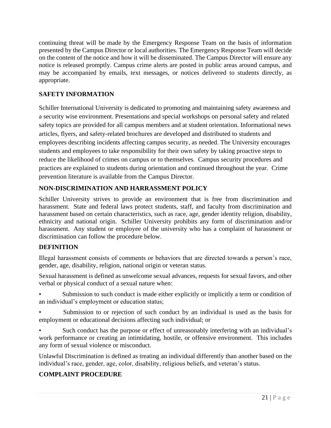continuing threat will be made by the Emergency Response Team on the basis of information presented by the Campus Director or local authorities. The Emergency Response Team will decide on the content of the notice and how it will be disseminated. The Campus Director will ensure any notice is released promptly. Campus crime alerts are posted in public areas around campus, and may be accompanied by emails, text messages, or notices delivered to students directly, as appropriate.

# **SAFETY INFORMATION**

Schiller International University is dedicated to promoting and maintaining safety awareness and a security wise environment. Presentations and special workshops on personal safety and related safety topics are provided for all campus members and at student orientation. Informational news articles, flyers, and safety-related brochures are developed and distributed to students and employees describing incidents affecting campus security, as needed. The University encourages students and employees to take responsibility for their own safety by taking proactive steps to reduce the likelihood of crimes on campus or to themselves. Campus security procedures and practices are explained to students during orientation and continued throughout the year. Crime prevention literature is available from the Campus Director.

# **NON-DISCRIMINATION AND HARRASSMENT POLICY**

Schiller University strives to provide an environment that is free from discrimination and harassment. State and federal laws protect students, staff, and faculty from discrimination and harassment based on certain characteristics, such as race, age, gender identity religion, disability, ethnicity and national origin. Schiller University prohibits any form of discrimination and/or harassment. Any student or employee of the university who has a complaint of harassment or discrimination can follow the procedure below.

## **DEFINITION**

Illegal harassment consists of comments or behaviors that are directed towards a person's race, gender, age, disability, religion, national origin or veteran status.

Sexual harassment is defined as unwelcome sexual advances, requests for sexual favors, and other verbal or physical conduct of a sexual nature when:

Submission to such conduct is made either explicitly or implicitly a term or condition of an individual's employment or education status;

- Submission to or rejection of such conduct by an individual is used as the basis for employment or educational decisions affecting such individual; or
- Such conduct has the purpose or effect of unreasonably interfering with an individual's work performance or creating an intimidating, hostile, or offensive environment. This includes any form of sexual violence or misconduct.

Unlawful Discrimination is defined as treating an individual differently than another based on the individual's race, gender, age, color, disability, religious beliefs, and veteran's status.

# **COMPLAINT PROCEDURE**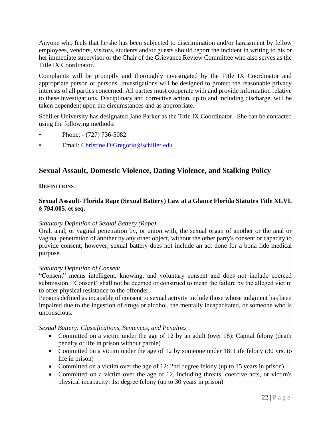Anyone who feels that he/she has been subjected to discrimination and/or harassment by fellow employees, vendors, visitors, students and/or guests should report the incident in writing to his or her immediate supervisor or the Chair of the Grievance Review Committee who also serves as the Title IX Coordinator.

Complaints will be promptly and thoroughly investigated by the Title IX Coordinator and appropriate person or persons. Investigations will be designed to protect the reasonable privacy interests of all parties concerned. All parties must cooperate with and provide information relative to these investigations. Disciplinary and corrective action, up to and including discharge, will be taken dependent upon the circumstances and as appropriate.

Schiller University has designated Jane Parker as the Title IX Coordinator. She can be contacted using the following methods:

- Phone: (727) 736-5082
- Email: [Christine.DiGregorio@schiller.edu](mailto:Christine.DiGregorio@schiller.edu)

# **Sexual Assault, Domestic Violence, Dating Violence, and Stalking Policy**

## **DEFINITIONS**

## **Sexual Assault- Florida Rape (Sexual Battery) Law at a Glance Florida Statutes Title XLVI. § 794.005, et seq.**

### *Statutory Definition of Sexual Battery (Rape)*

Oral, anal, or vaginal penetration by, or union with, the sexual organ of another or the anal or vaginal penetration of another by any other object, without the other party's consent or capacity to provide consent; however, sexual battery does not include an act done for a bona fide medical purpose.

### *Statutory Definition of Consent*

"Consent" means intelligent, knowing, and voluntary consent and does not include coerced submission. "Consent" shall not be deemed or construed to mean the failure by the alleged victim to offer physical resistance to the offender.

Persons defined as incapable of consent to sexual activity include those whose judgment has been impaired due to the ingestion of drugs or alcohol, the mentally incapacitated, or someone who is unconscious.

## *Sexual Battery: Classifications, Sentences, and Penalties*

- Committed on a victim under the age of 12 by an adult (over 18): Capital felony (death penalty or life in prison without parole)
- Committed on a victim under the age of 12 by someone under 18: Life felony (30 yrs. to life in prison)
- Committed on a victim over the age of 12: 2nd degree felony (up to 15 years in prison)
- Committed on a victim over the age of 12, including threats, coercive acts, or victim's physical incapacity: 1st degree felony (up to 30 years in prison)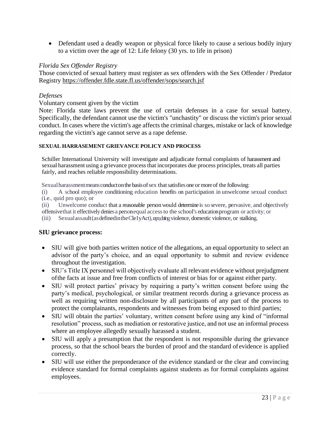• Defendant used a deadly weapon or physical force likely to cause a serious bodily injury to a victim over the age of 12: Life felony (30 yrs. to life in prison)

## *Florida Sex Offender Registry*

Those convicted of sexual battery must register as sex offenders with the Sex Offender / Predator Registry <https://offender.fdle.state.fl.us/offender/sops/search.jsf>

### *Defenses*

### Voluntary consent given by the victim

Note: Florida state laws prevent the use of certain defenses in a case for sexual battery. Specifically, the defendant cannot use the victim's "unchastity" or discuss the victim's prior sexual conduct. In cases where the victim's age affects the criminal charges, mistake or lack of knowledge regarding the victim's age cannot serve as a rape defense.

#### **SEXUAL HARRASEMENT GRIEVANCE POLICY AND PROCESS**

Schiller International University will investigate and adjudicate formal complaints of harassment and sexual harassment using a grievance process that incorporates due process principles, treats all parties fairly, and reaches reliable responsibility determinations.

Sexualharassmentmeansconductonthebasisofsex thatsatisfiesoneor moreof the following:

(i) A school employee conditioning education benefits on participation in unwelcome sexual conduct (i.e., quid pro quo); or

(ii) Unwelcome conduct that a reasonable personwould determine is so severe, pervasive, and objectively offensivethat it effectivelydeniesa personequal accessto the school's educationprogram or activity; or

 $(iii)$  Sexual assault (as defined in the Cle1yAct), raped time violence, domestic violence, or stalking.

## **SIU grievance process:**

- SIU will give both parties written notice of the allegations, an equal opportunity to select an advisor of the party's choice, and an equal opportunity to submit and review evidence throughout the investigation.
- SIU's Title IX personnel will objectively evaluate all relevant evidence without prejudgment ofthe facts at issue and free from conflicts of interest or bias for or against either party.
- SIU will protect parties' privacy by requiring a party's written consent before using the party's medical, psychological, or similar treatment records during a grievance process as well as requiring written non-disclosure by all participants of any part of the process to protect the complainants, respondents and witnesses from being exposed to third parties;
- SIU will obtain the parties' voluntary, written consent before using any kind of "informal" resolution" process, such as mediation or restorative justice, and not use an informal process where an employee allegedly sexually harassed a student.
- SIU will apply a presumption that the respondent is not responsible during the grievance process, so that the school bears the burden of proof and the standard of evidence is applied correctly.
- SIU will use either the preponderance of the evidence standard or the clear and convincing evidence standard for formal complaints against students as for formal complaints against employees.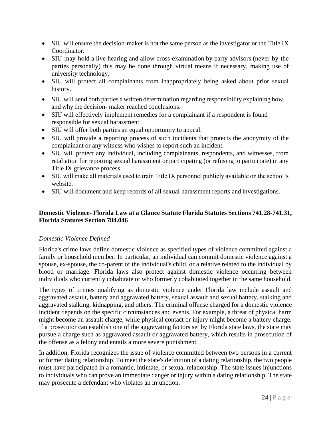- SIU will ensure the decision-maker is not the same person as the investigator or the Title IX Coordinator.
- SIU may hold a live hearing and allow cross-examination by party advisors (never by the parties personally) this may be done through virtual means if necessary, making use of university technology.
- SIU will protect all complainants from inappropriately being asked about prior sexual history.
- SIU will send both parties a written determination regarding responsibility explaining how and why the decision- maker reached conclusions.
- SIU will effectively implement remedies for a complainant if a respondent is found responsible for sexual harassment.
- SIU will offer both parties an equal opportunity to appeal.
- SIU will provide a reporting process of such incidents that protects the anonymity of the complainant or any witness who wishes to report such an incident.
- SIU will protect any individual, including complainants, respondents, and witnesses, from retaliation for reporting sexual harassment or participating (or refusing to participate) in any Title IX grievance process.
- SIU will make all materials used to train Title IX personnel publicly available on the school's website.
- SIU will document and keep records of all sexual harassment reports and investigations.

## **Domestic Violence- Florida Law at a Glance Statute Florida Statutes Sections 741.28-741.31, Florida Statutes Section 784.046**

## *Domestic Violence Defined*

Florida's crime laws define domestic violence as specified types of violence committed against a family or household member. In particular, an individual can commit domestic violence against a spouse, ex-spouse, the co-parent of the individual's child, or a relative related to the individual by blood or marriage. Florida laws also protect against domestic violence occurring between individuals who currently cohabitate or who formerly cohabitated together in the same household.

The types of crimes qualifying as domestic violence under Florida law include assault and aggravated assault, battery and aggravated battery, sexual assault and sexual battery, stalking and aggravated stalking, kidnapping, and others. The criminal offense charged for a domestic violence incident depends on the specific circumstances and events. For example, a threat of physical harm might become an assault charge, while physical contact or injury might become a battery charge. If a prosecutor can establish one of the aggravating factors set by Florida state laws, the state may pursue a charge such as aggravated assault or aggravated battery, which results in prosecution of the offense as a felony and entails a more severe punishment.

In addition, Florida recognizes the issue of violence committed between two persons in a current or former dating relationship. To meet the state's definition of a dating relationship, the two people must have participated in a romantic, intimate, or sexual relationship. The state issues injunctions to individuals who can prove an immediate danger or injury within a dating relationship. The state may prosecute a defendant who violates an injunction.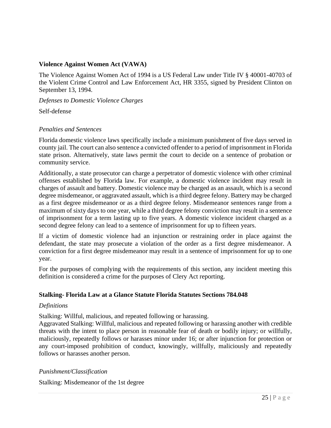## **Violence Against Women Act (VAWA)**

The Violence Against Women Act of 1994 is a US Federal Law under Title IV § 40001-40703 of the Violent Crime Control and Law Enforcement Act, HR 3355, signed by President Clinton on September 13, 1994.

*Defenses to Domestic Violence Charges*

Self-defense

## *Penalties and Sentences*

Florida domestic violence laws specifically include a minimum punishment of five days served in county jail. The court can also sentence a convicted offender to a period of imprisonment in Florida state prison. Alternatively, state laws permit the court to decide on a sentence of probation or community service.

Additionally, a state prosecutor can charge a perpetrator of domestic violence with other criminal offenses established by Florida law. For example, a domestic violence incident may result in charges of assault and battery. Domestic violence may be charged as an assault, which is a second degree misdemeanor, or aggravated assault, which is a third degree felony. Battery may be charged as a first degree misdemeanor or as a third degree felony. Misdemeanor sentences range from a maximum of sixty days to one year, while a third degree felony conviction may result in a sentence of imprisonment for a term lasting up to five years. A domestic violence incident charged as a second degree felony can lead to a sentence of imprisonment for up to fifteen years.

If a victim of domestic violence had an injunction or restraining order in place against the defendant, the state may prosecute a violation of the order as a first degree misdemeanor. A conviction for a first degree misdemeanor may result in a sentence of imprisonment for up to one year.

For the purposes of complying with the requirements of this section, any incident meeting this definition is considered a crime for the purposes of Clery Act reporting.

## **Stalking- Florida Law at a Glance Statute Florida Statutes Sections 784.048**

## *Definitions*

Stalking: Willful, malicious, and repeated following or harassing.

Aggravated Stalking: Willful, malicious and repeated following or harassing another with credible threats with the intent to place person in reasonable fear of death or bodily injury; or willfully, maliciously, repeatedly follows or harasses minor under 16; or after injunction for protection or any court-imposed prohibition of conduct, knowingly, willfully, maliciously and repeatedly follows or harasses another person.

## *Punishment/Classification*

Stalking: Misdemeanor of the 1st degree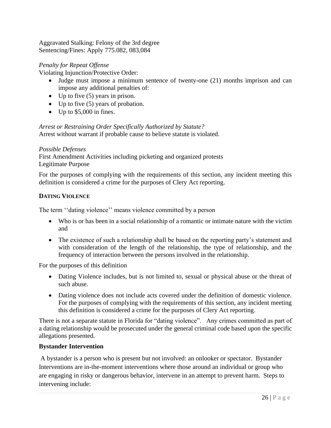Aggravated Stalking: Felony of the 3rd degree Sentencing/Fines: Apply 775.082, 083,084

## *Penalty for Repeat Offense*

Violating Injunction/Protective Order:

- Judge must impose a minimum sentence of twenty-one (21) months imprison and can impose any additional penalties of:
- Up to five (5) years in prison.
- Up to five (5) years of probation.
- Up to \$5,000 in fines.

*Arrest or Restraining Order Specifically Authorized by Statute?*

Arrest without warrant if probable cause to believe statute is violated.

## *Possible Defenses*

First Amendment Activities including picketing and organized protests Legitimate Purpose

For the purposes of complying with the requirements of this section, any incident meeting this definition is considered a crime for the purposes of Clery Act reporting.

## **DATING VIOLENCE**

The term ''dating violence'' means violence committed by a person

- Who is or has been in a social relationship of a romantic or intimate nature with the victim and
- The existence of such a relationship shall be based on the reporting party's statement and with consideration of the length of the relationship, the type of relationship, and the frequency of interaction between the persons involved in the relationship.

For the purposes of this definition

- Dating Violence includes, but is not limited to, sexual or physical abuse or the threat of such abuse.
- Dating violence does not include acts covered under the definition of domestic violence. For the purposes of complying with the requirements of this section, any incident meeting this definition is considered a crime for the purposes of Clery Act reporting.

There is not a separate statute in Florida for "dating violence". Any crimes committed as part of a dating relationship would be prosecuted under the general criminal code based upon the specific allegations presented.

## **Bystander Intervention**

A bystander is a person who is present but not involved: an onlooker or spectator. Bystander Interventions are in-the-moment interventions where those around an individual or group who are engaging in risky or dangerous behavior, intervene in an attempt to prevent harm. Steps to intervening include: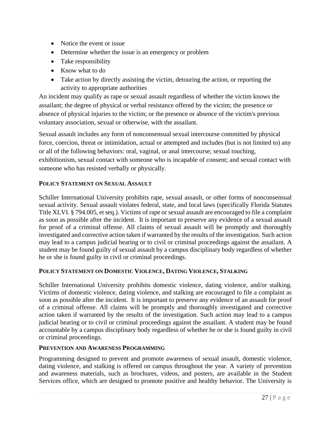- Notice the event or issue
- Determine whether the issue is an emergency or problem
- Take responsibility
- Know what to do
- Take action by directly assisting the victim, detouring the action, or reporting the activity to appropriate authorities

An incident may qualify as rape or sexual assault regardless of whether the victim knows the assailant; the degree of physical or verbal resistance offered by the victim; the presence or absence of physical injuries to the victim; or the presence or absence of the victim's previous voluntary association, sexual or otherwise, with the assailant.

Sexual assault includes any form of nonconsensual sexual intercourse committed by physical force, coercion, threat or intimidation, actual or attempted and includes (but is not limited to) any or all of the following behaviors: oral, vaginal, or anal intercourse; sexual touching, exhibitionism, sexual contact with someone who is incapable of consent; and sexual contact with someone who has resisted verbally or physically.

## **POLICY STATEMENT ON SEXUAL ASSAULT**

Schiller International University prohibits rape, sexual assault, or other forms of nonconsensual sexual activity. Sexual assault violates federal, state, and local laws (specifically Florida Statutes Title XLVI. § 794.005, et seq.). Victims of rape or sexual assault are encouraged to file a complaint as soon as possible after the incident. It is important to preserve any evidence of a sexual assault for proof of a criminal offense. All claims of sexual assault will be promptly and thoroughly investigated and corrective action taken if warranted by the results of the investigation. Such action may lead to a campus judicial hearing or to civil or criminal proceedings against the assailant. A student may be found guilty of sexual assault by a campus disciplinary body regardless of whether he or she is found guilty in civil or criminal proceedings.

## **POLICY STATEMENT ON DOMESTIC VIOLENCE, DATING VIOLENCE, STALKING**

Schiller International University prohibits domestic violence, dating violence, and/or stalking. Victims of domestic violence, dating violence, and stalking are encouraged to file a complaint as soon as possible after the incident. It is important to preserve any evidence of an assault for proof of a criminal offense. All claims will be promptly and thoroughly investigated and corrective action taken if warranted by the results of the investigation. Such action may lead to a campus judicial hearing or to civil or criminal proceedings against the assailant. A student may be found accountable by a campus disciplinary body regardless of whether he or she is found guilty in civil or criminal proceedings.

## **PREVENTION AND AWARENESS PROGRAMMING**

Programming designed to prevent and promote awareness of sexual assault, domestic violence, dating violence, and stalking is offered on campus throughout the year. A variety of prevention and awareness materials, such as brochures, videos, and posters, are available in the Student Services office, which are designed to promote positive and healthy behavior. The University is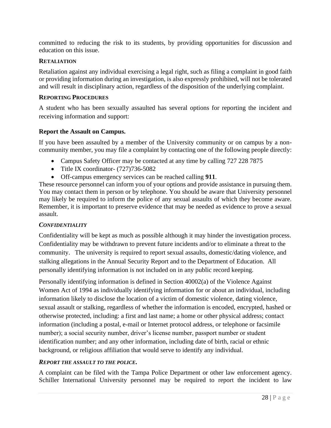committed to reducing the risk to its students, by providing opportunities for discussion and education on this issue.

### **RETALIATION**

Retaliation against any individual exercising a legal right, such as filing a complaint in good faith or providing information during an investigation, is also expressly prohibited, will not be tolerated and will result in disciplinary action, regardless of the disposition of the underlying complaint.

### **REPORTING PROCEDURES**

A student who has been sexually assaulted has several options for reporting the incident and receiving information and support:

## **Report the Assault on Campus.**

If you have been assaulted by a member of the University community or on campus by a noncommunity member, you may file a complaint by contacting one of the following people directly:

- Campus Safety Officer may be contacted at any time by calling 727 228 7875
- Title IX coordinator- (727) 736-5082
- Off-campus emergency services can be reached calling **911**.

These resource personnel can inform you of your options and provide assistance in pursuing them. You may contact them in person or by telephone. You should be aware that University personnel may likely be required to inform the police of any sexual assaults of which they become aware. Remember, it is important to preserve evidence that may be needed as evidence to prove a sexual assault.

## *CONFIDENTIALITY*

Confidentiality will be kept as much as possible although it may hinder the investigation process. Confidentiality may be withdrawn to prevent future incidents and/or to eliminate a threat to the community. The university is required to report sexual assaults, domestic/dating violence, and stalking allegations in the Annual Security Report and to the Department of Education. All personally identifying information is not included on in any public record keeping.

Personally identifying information is defined in Section 40002(a) of the Violence Against Women Act of 1994 as individually identifying information for or about an individual, including information likely to disclose the location of a victim of domestic violence, dating violence, sexual assault or stalking, regardless of whether the information is encoded, encrypted, hashed or otherwise protected, including: a first and last name; a home or other physical address; contact information (including a postal, e-mail or Internet protocol address, or telephone or facsimile number); a social security number, driver's license number, passport number or student identification number; and any other information, including date of birth, racial or ethnic background, or religious affiliation that would serve to identify any individual.

## *REPORT THE ASSAULT TO THE POLICE.*

A complaint can be filed with the Tampa Police Department or other law enforcement agency. Schiller International University personnel may be required to report the incident to law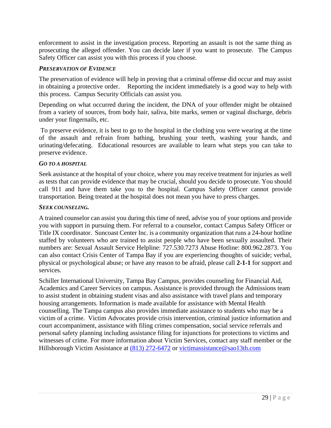enforcement to assist in the investigation process. Reporting an assault is not the same thing as prosecuting the alleged offender. You can decide later if you want to prosecute. The Campus Safety Officer can assist you with this process if you choose.

## *PRESERVATION OF EVIDENCE*

The preservation of evidence will help in proving that a criminal offense did occur and may assist in obtaining a protective order. Reporting the incident immediately is a good way to help with this process. Campus Security Officials can assist you.

Depending on what occurred during the incident, the DNA of your offender might be obtained from a variety of sources, from body hair, saliva, bite marks, semen or vaginal discharge, debris under your fingernails, etc.

To preserve evidence, it is best to go to the hospital in the clothing you were wearing at the time of the assault and refrain from bathing, brushing your teeth, washing your hands, and urinating/defecating. Educational resources are available to learn what steps you can take to preserve evidence.

## *GO TO A HOSPITAL*

Seek assistance at the hospital of your choice, where you may receive treatment for injuries as well as tests that can provide evidence that may be crucial, should you decide to prosecute. You should call 911 and have them take you to the hospital. Campus Safety Officer cannot provide transportation. Being treated at the hospital does not mean you have to press charges.

## *SEEK COUNSELING.*

A trained counselor can assist you during this time of need, advise you of your options and provide you with support in pursuing them. For referral to a counselor, contact Campus Safety Officer or Title IX coordinator. Suncoast Center Inc. is a community organization that runs a 24-hour hotline staffed by volunteers who are trained to assist people who have been sexually assaulted. Their numbers are: Sexual Assault Service Helpline: 727.530.7273 Abuse Hotline: 800.962.2873. You can also contact Crisis Center of Tampa Bay if you are experiencing thoughts of suicide; verbal, physical or psychological abuse; or have any reason to be afraid, please call **2-1-1** for support and services.

Schiller International University, Tampa Bay Campus, provides counseling for Financial Aid, Academics and Career Services on campus. Assistance is provided through the Admissions team to assist student in obtaining student visas and also assistance with travel plans and temporary housing arrangements. Information is made available for assistance with Mental Health counselling. The Tampa campus also provides immediate assistance to students who may be a victim of a crime. Victim Advocates provide crisis intervention, criminal justice information and court accompaniment, assistance with filing crimes compensation, social service referrals and personal safety planning including assistance filing for injunctions for protections to victims and witnesses of crime. For more information about Victim Services, contact any staff member or the Hillsborough Victim Assistance at [\(813\) 272-6472](https://www.google.com/search?q=tampa+victim+advocate&sxsrf=AOaemvJesnIZaoTg9VqL1Uc5PvfVu5P9IQ%3A1631758496265&source=hp&ei=oKhCYeCXDeuc_QaX0YToAw&iflsig=ALs-wAMAAAAAYUK2sOgwfeEp5kJvrJNXaNQv1qBHRXpP&gs_ssp=eJzj4tZP1zcsyTDIK8jKMmC0UjWosLBINko2sUhMsTS1TLFMSrIyqDBMSTY3M0sxTjFMMjFINUv1Ei1JzC1IVCjLTC7JzFVITCnLT04sSQUATlUXlw&oq=tampa+victim+&gs_lcp=Cgdnd3Mtd2l6EAMYADIOCC4QgAQQxwEQrwEQkwIyBggAEBYQHjICCCY6BAgjECc6CgguEMcBEK8BECc6BAguEEM6CgguELEDEIMBEEM6BAgAEEM6BwguELEDEEM6BwgAELEDEEM6CggAEIAEEIcCEBQ6CwguEIAEEMcBEK8BOgUIABCRAjoFCAAQgAQ6BQguEIAEOgkIABDJAxAWEB5QqwFYshFglhloAHAAeAGAAa4DiAHAFpIBCTAuNy4xLjMuMZgBAKABAQ&sclient=gws-wiz) or [victimassistance@sao13th.com](mailto:victimassistance@sao13th.com)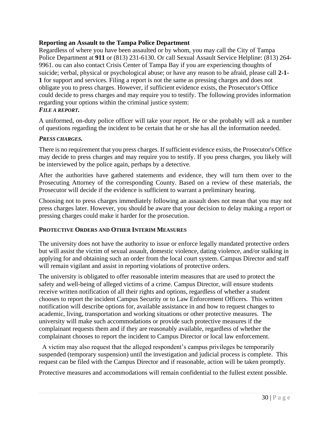## **Reporting an Assault to the Tampa Police Department**

Regardless of where you have been assaulted or by whom, you may call the City of Tampa Police Department at **911** or (813) 231-6130. Or call Sexual Assault Service Helpline: (813) 264- 9961. ou can also contact Crisis Center of Tampa Bay if you are experiencing thoughts of suicide; verbal, physical or psychological abuse; or have any reason to be afraid, please call **2-1- 1** for support and services. Filing a report is not the same as pressing charges and does not obligate you to press charges. However, if sufficient evidence exists, the Prosecutor's Office could decide to press charges and may require you to testify. The following provides information regarding your options within the criminal justice system:

# *FILE A REPORT.*

A uniformed, on-duty police officer will take your report. He or she probably will ask a number of questions regarding the incident to be certain that he or she has all the information needed.

### *PRESS CHARGES.*

There is no requirement that you press charges. If sufficient evidence exists, the Prosecutor's Office may decide to press charges and may require you to testify. If you press charges, you likely will be interviewed by the police again, perhaps by a detective.

After the authorities have gathered statements and evidence, they will turn them over to the Prosecuting Attorney of the corresponding County. Based on a review of these materials, the Prosecutor will decide if the evidence is sufficient to warrant a preliminary hearing.

Choosing not to press charges immediately following an assault does not mean that you may not press charges later. However, you should be aware that your decision to delay making a report or pressing charges could make it harder for the prosecution.

### **PROTECTIVE ORDERS AND OTHER INTERIM MEASURES**

The university does not have the authority to issue or enforce legally mandated protective orders but will assist the victim of sexual assault, domestic violence, dating violence, and/or stalking in applying for and obtaining such an order from the local court system. Campus Director and staff will remain vigilant and assist in reporting violations of protective orders.

The university is obligated to offer reasonable interim measures that are used to protect the safety and well-being of alleged victims of a crime. Campus Director, will ensure students receive written notification of all their rights and options, regardless of whether a student chooses to report the incident Campus Security or to Law Enforcement Officers. This written notification will describe options for, available assistance in and how to request changes to academic, living, transportation and working situations or other protective measures. The university will make such accommodations or provide such protective measures if the complainant requests them and if they are reasonably available, regardless of whether the complainant chooses to report the incident to Campus Director or local law enforcement.

 A victim may also request that the alleged respondent's campus privileges be temporarily suspended (temporary suspension) until the investigation and judicial process is complete. This request can be filed with the Campus Director and if reasonable, action will be taken promptly.

Protective measures and accommodations will remain confidential to the fullest extent possible.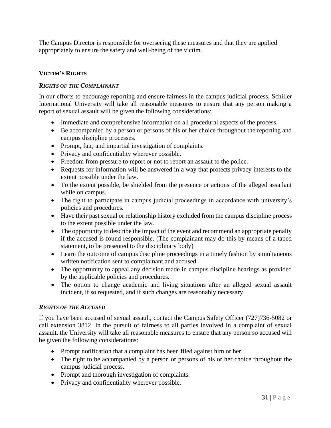The Campus Director is responsible for overseeing these measures and that they are applied appropriately to ensure the safety and well-being of the victim.

## **VICTIM'S RIGHTS**

## *RIGHTS OF THE COMPLAINANT*

In our efforts to encourage reporting and ensure fairness in the campus judicial process, Schiller International University will take all reasonable measures to ensure that any person making a report of sexual assault will be given the following considerations:

- Immediate and comprehensive information on all procedural aspects of the process.
- Be accompanied by a person or persons of his or her choice throughout the reporting and campus discipline processes.
- Prompt, fair, and impartial investigation of complaints.
- Privacy and confidentiality wherever possible.
- Freedom from pressure to report or not to report an assault to the police.
- Requests for information will be answered in a way that protects privacy interests to the extent possible under the law.
- To the extent possible, be shielded from the presence or actions of the alleged assailant while on campus.
- The right to participate in campus judicial proceedings in accordance with university's policies and procedures.
- Have their past sexual or relationship history excluded from the campus discipline process to the extent possible under the law.
- The opportunity to describe the impact of the event and recommend an appropriate penalty if the accused is found responsible. (The complainant may do this by means of a taped statement, to be presented to the disciplinary body)
- Learn the outcome of campus discipline proceedings in a timely fashion by simultaneous written notification sent to complainant and accused.
- The opportunity to appeal any decision made in campus discipline hearings as provided by the applicable policies and procedures.
- The option to change academic and living situations after an alleged sexual assault incident, if so requested, and if such changes are reasonably necessary.

### *RIGHTS OF THE ACCUSED*

If you have been accused of sexual assault, contact the Campus Safety Officer (727)736-5082 or call extension 3812. In the pursuit of fairness to all parties involved in a complaint of sexual assault, the University will take all reasonable measures to ensure that any person so accused will be given the following considerations:

- Prompt notification that a complaint has been filed against him or her.
- The right to be accompanied by a person or persons of his or her choice throughout the campus judicial process.
- Prompt and thorough investigation of complaints.
- Privacy and confidentiality wherever possible.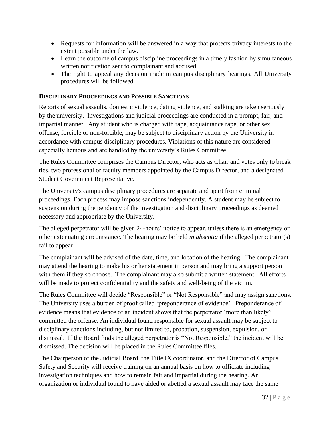- Requests for information will be answered in a way that protects privacy interests to the extent possible under the law.
- Learn the outcome of campus discipline proceedings in a timely fashion by simultaneous written notification sent to complainant and accused.
- The right to appeal any decision made in campus disciplinary hearings. All University procedures will be followed.

## **DISCIPLINARY PROCEEDINGS AND POSSIBLE SANCTIONS**

Reports of sexual assaults, domestic violence, dating violence, and stalking are taken seriously by the university. Investigations and judicial proceedings are conducted in a prompt, fair, and impartial manner. Any student who is charged with rape, acquaintance rape, or other sex offense, forcible or non-forcible, may be subject to disciplinary action by the University in accordance with campus disciplinary procedures. Violations of this nature are considered especially heinous and are handled by the university's Rules Committee.

The Rules Committee comprises the Campus Director, who acts as Chair and votes only to break ties, two professional or faculty members appointed by the Campus Director, and a designated Student Government Representative.

The University's campus disciplinary procedures are separate and apart from criminal proceedings. Each process may impose sanctions independently. A student may be subject to suspension during the pendency of the investigation and disciplinary proceedings as deemed necessary and appropriate by the University.

The alleged perpetrator will be given 24-hours' notice to appear, unless there is an emergency or other extenuating circumstance. The hearing may be held *in absentia* if the alleged perpetrator(s) fail to appear.

The complainant will be advised of the date, time, and location of the hearing. The complainant may attend the hearing to make his or her statement in person and may bring a support person with them if they so choose. The complainant may also submit a written statement. All efforts will be made to protect confidentiality and the safety and well-being of the victim.

The Rules Committee will decide "Responsible" or "Not Responsible" and may assign sanctions. The University uses a burden of proof called 'preponderance of evidence'. Preponderance of evidence means that evidence of an incident shows that the perpetrator 'more than likely" committed the offense. An individual found responsible for sexual assault may be subject to disciplinary sanctions including, but not limited to, probation, suspension, expulsion, or dismissal. If the Board finds the alleged perpetrator is "Not Responsible," the incident will be dismissed. The decision will be placed in the Rules Committee files.

The Chairperson of the Judicial Board, the Title IX coordinator, and the Director of Campus Safety and Security will receive training on an annual basis on how to officiate including investigation techniques and how to remain fair and impartial during the hearing. An organization or individual found to have aided or abetted a sexual assault may face the same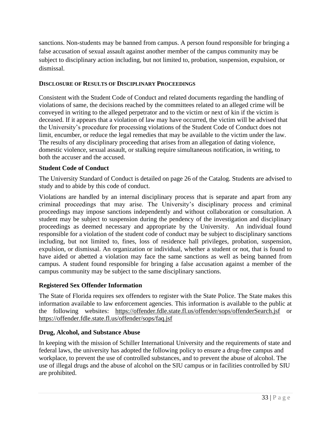sanctions. Non-students may be banned from campus. A person found responsible for bringing a false accusation of sexual assault against another member of the campus community may be subject to disciplinary action including, but not limited to, probation, suspension, expulsion, or dismissal.

## **DISCLOSURE OF RESULTS OF DISCIPLINARY PROCEEDINGS**

Consistent with the Student Code of Conduct and related documents regarding the handling of violations of same, the decisions reached by the committees related to an alleged crime will be conveyed in writing to the alleged perpetrator and to the victim or next of kin if the victim is deceased. If it appears that a violation of law may have occurred, the victim will be advised that the University's procedure for processing violations of the Student Code of Conduct does not limit, encumber, or reduce the legal remedies that may be available to the victim under the law. The results of any disciplinary proceeding that arises from an allegation of dating violence, domestic violence, sexual assault, or stalking require simultaneous notification, in writing, to both the accuser and the accused.

## **Student Code of Conduct**

The University Standard of Conduct is detailed on page 26 of the Catalog. Students are advised to study and to abide by this code of conduct.

Violations are handled by an internal disciplinary process that is separate and apart from any criminal proceedings that may arise. The University's disciplinary process and criminal proceedings may impose sanctions independently and without collaboration or consultation. A student may be subject to suspension during the pendency of the investigation and disciplinary proceedings as deemed necessary and appropriate by the University. An individual found responsible for a violation of the student code of conduct may be subject to disciplinary sanctions including, but not limited to, fines, loss of residence hall privileges, probation, suspension, expulsion, or dismissal. An organization or individual, whether a student or not, that is found to have aided or abetted a violation may face the same sanctions as well as being banned from campus. A student found responsible for bringing a false accusation against a member of the campus community may be subject to the same disciplinary sanctions.

## **Registered Sex Offender Information**

The State of Florida requires sex offenders to register with the State Police. The State makes this information available to law enforcement agencies. This information is available to the public at the following websites: <https://offender.fdle.state.fl.us/offender/sops/offenderSearch.jsf> or <https://offender.fdle.state.fl.us/offender/sops/faq.jsf>

## **Drug, Alcohol, and Substance Abuse**

In keeping with the mission of Schiller International University and the requirements of state and federal laws, the university has adopted the following policy to ensure a drug-free campus and workplace, to prevent the use of controlled substances, and to prevent the abuse of alcohol. The use of illegal drugs and the abuse of alcohol on the SIU campus or in facilities controlled by SIU are prohibited.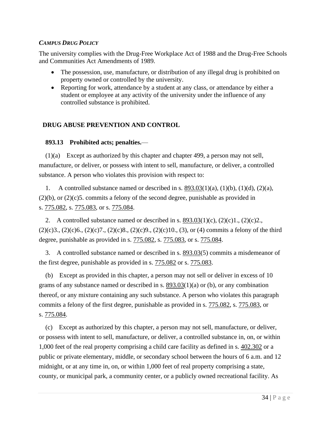## *CAMPUS DRUG POLICY*

The university complies with the Drug-Free Workplace Act of 1988 and the Drug-Free Schools and Communities Act Amendments of 1989.

- The possession, use, manufacture, or distribution of any illegal drug is prohibited on property owned or controlled by the university.
- Reporting for work, attendance by a student at any class, or attendance by either a student or employee at any activity of the university under the influence of any controlled substance is prohibited.

## **DRUG ABUSE PREVENTION AND CONTROL**

## **893.13 Prohibited acts; penalties.**—

(1)(a) Except as authorized by this chapter and chapter 499, a person may not sell, manufacture, or deliver, or possess with intent to sell, manufacture, or deliver, a controlled substance. A person who violates this provision with respect to:

1. A controlled substance named or described in s.  $893.03(1)(a)$  $893.03(1)(a)$ ,  $(1)(b)$ ,  $(1)(d)$ ,  $(2)(a)$ ,  $(2)(b)$ , or  $(2)(c)$ 5. commits a felony of the second degree, punishable as provided in s. [775.082,](http://www.leg.state.fl.us/Statutes/index.cfm?App_mode=Display_Statute&Search_String=&URL=0700-0799/0775/Sections/0775.082.html) s. [775.083,](http://www.leg.state.fl.us/Statutes/index.cfm?App_mode=Display_Statute&Search_String=&URL=0700-0799/0775/Sections/0775.083.html) or s. [775.084.](http://www.leg.state.fl.us/Statutes/index.cfm?App_mode=Display_Statute&Search_String=&URL=0700-0799/0775/Sections/0775.084.html)

2. A controlled substance named or described in s.  $893.03(1)(c)$  $893.03(1)(c)$ ,  $(2)(c)1$ ,  $(2)(c)2$ ,  $(2)(c)3, (2)(c)6, (2)(c)7, (2)(c)8, (2)(c)9, (2)(c)10, (3),$  or (4) commits a felony of the third degree, punishable as provided in s. [775.082,](http://www.leg.state.fl.us/Statutes/index.cfm?App_mode=Display_Statute&Search_String=&URL=0700-0799/0775/Sections/0775.082.html) s. [775.083,](http://www.leg.state.fl.us/Statutes/index.cfm?App_mode=Display_Statute&Search_String=&URL=0700-0799/0775/Sections/0775.083.html) or s. [775.084.](http://www.leg.state.fl.us/Statutes/index.cfm?App_mode=Display_Statute&Search_String=&URL=0700-0799/0775/Sections/0775.084.html)

3. A controlled substance named or described in s. [893.03\(](http://www.leg.state.fl.us/Statutes/index.cfm?App_mode=Display_Statute&Search_String=&URL=0800-0899/0893/Sections/0893.03.html)5) commits a misdemeanor of the first degree, punishable as provided in s. [775.082](http://www.leg.state.fl.us/Statutes/index.cfm?App_mode=Display_Statute&Search_String=&URL=0700-0799/0775/Sections/0775.082.html) or s. [775.083.](http://www.leg.state.fl.us/Statutes/index.cfm?App_mode=Display_Statute&Search_String=&URL=0700-0799/0775/Sections/0775.083.html)

(b) Except as provided in this chapter, a person may not sell or deliver in excess of 10 grams of any substance named or described in s.  $893.03(1)(a)$  $893.03(1)(a)$  or (b), or any combination thereof, or any mixture containing any such substance. A person who violates this paragraph commits a felony of the first degree, punishable as provided in s. [775.082,](http://www.leg.state.fl.us/Statutes/index.cfm?App_mode=Display_Statute&Search_String=&URL=0700-0799/0775/Sections/0775.082.html) s. [775.083,](http://www.leg.state.fl.us/Statutes/index.cfm?App_mode=Display_Statute&Search_String=&URL=0700-0799/0775/Sections/0775.083.html) or s. [775.084.](http://www.leg.state.fl.us/Statutes/index.cfm?App_mode=Display_Statute&Search_String=&URL=0700-0799/0775/Sections/0775.084.html)

(c) Except as authorized by this chapter, a person may not sell, manufacture, or deliver, or possess with intent to sell, manufacture, or deliver, a controlled substance in, on, or within 1,000 feet of the real property comprising a child care facility as defined in s. [402.302](http://www.leg.state.fl.us/Statutes/index.cfm?App_mode=Display_Statute&Search_String=&URL=0400-0499/0402/Sections/0402.302.html) or a public or private elementary, middle, or secondary school between the hours of 6 a.m. and 12 midnight, or at any time in, on, or within 1,000 feet of real property comprising a state, county, or municipal park, a community center, or a publicly owned recreational facility. As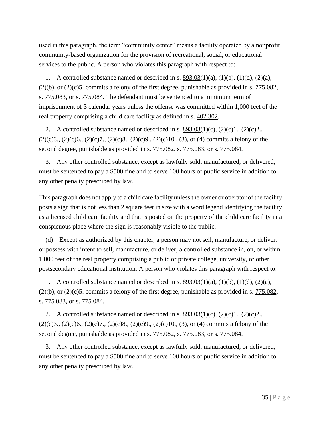used in this paragraph, the term "community center" means a facility operated by a nonprofit community-based organization for the provision of recreational, social, or educational services to the public. A person who violates this paragraph with respect to:

1. A controlled substance named or described in s.  $893.03(1)(a)$  $893.03(1)(a)$ ,  $(1)(b)$ ,  $(1)(d)$ ,  $(2)(a)$ ,  $(2)(b)$ , or  $(2)(c)$ 5. commits a felony of the first degree, punishable as provided in s.  $775.082$ , s. [775.083,](http://www.leg.state.fl.us/Statutes/index.cfm?App_mode=Display_Statute&Search_String=&URL=0700-0799/0775/Sections/0775.083.html) or s. [775.084.](http://www.leg.state.fl.us/Statutes/index.cfm?App_mode=Display_Statute&Search_String=&URL=0700-0799/0775/Sections/0775.084.html) The defendant must be sentenced to a minimum term of imprisonment of 3 calendar years unless the offense was committed within 1,000 feet of the real property comprising a child care facility as defined in s. [402.302.](http://www.leg.state.fl.us/Statutes/index.cfm?App_mode=Display_Statute&Search_String=&URL=0400-0499/0402/Sections/0402.302.html)

2. A controlled substance named or described in s.  $893.03(1)(c)$  $893.03(1)(c)$ ,  $(2)(c)1$ ,  $(2)(c)2$ .  $(2)(c)3, (2)(c)6, (2)(c)7, (2)(c)8, (2)(c)9, (2)(c)10, (3),$  or (4) commits a felony of the second degree, punishable as provided in s.  $775.082$ , s.  $775.083$ , or s.  $775.084$ .

3. Any other controlled substance, except as lawfully sold, manufactured, or delivered, must be sentenced to pay a \$500 fine and to serve 100 hours of public service in addition to any other penalty prescribed by law.

This paragraph does not apply to a child care facility unless the owner or operator of the facility posts a sign that is not less than 2 square feet in size with a word legend identifying the facility as a licensed child care facility and that is posted on the property of the child care facility in a conspicuous place where the sign is reasonably visible to the public.

(d) Except as authorized by this chapter, a person may not sell, manufacture, or deliver, or possess with intent to sell, manufacture, or deliver, a controlled substance in, on, or within 1,000 feet of the real property comprising a public or private college, university, or other postsecondary educational institution. A person who violates this paragraph with respect to:

1. A controlled substance named or described in s.  $893.03(1)(a)$  $893.03(1)(a)$ ,  $(1)(b)$ ,  $(1)(d)$ ,  $(2)(a)$ ,  $(2)(b)$ , or  $(2)(c)$ 5. commits a felony of the first degree, punishable as provided in s. [775.082,](http://www.leg.state.fl.us/Statutes/index.cfm?App_mode=Display_Statute&Search_String=&URL=0700-0799/0775/Sections/0775.082.html) s. [775.083,](http://www.leg.state.fl.us/Statutes/index.cfm?App_mode=Display_Statute&Search_String=&URL=0700-0799/0775/Sections/0775.083.html) or s. [775.084.](http://www.leg.state.fl.us/Statutes/index.cfm?App_mode=Display_Statute&Search_String=&URL=0700-0799/0775/Sections/0775.084.html)

2. A controlled substance named or described in s.  $893.03(1)(c)$  $893.03(1)(c)$ ,  $(2)(c)1$ ,  $(2)(c)2$ .  $(2)(c)3, (2)(c)6, (2)(c)7, (2)(c)8, (2)(c)9, (2)(c)10, (3),$  or (4) commits a felony of the second degree, punishable as provided in s. [775.082,](http://www.leg.state.fl.us/Statutes/index.cfm?App_mode=Display_Statute&Search_String=&URL=0700-0799/0775/Sections/0775.082.html) s. [775.083,](http://www.leg.state.fl.us/Statutes/index.cfm?App_mode=Display_Statute&Search_String=&URL=0700-0799/0775/Sections/0775.083.html) or s. [775.084.](http://www.leg.state.fl.us/Statutes/index.cfm?App_mode=Display_Statute&Search_String=&URL=0700-0799/0775/Sections/0775.084.html)

3. Any other controlled substance, except as lawfully sold, manufactured, or delivered, must be sentenced to pay a \$500 fine and to serve 100 hours of public service in addition to any other penalty prescribed by law.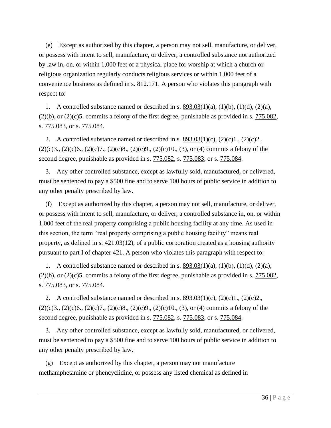(e) Except as authorized by this chapter, a person may not sell, manufacture, or deliver, or possess with intent to sell, manufacture, or deliver, a controlled substance not authorized by law in, on, or within 1,000 feet of a physical place for worship at which a church or religious organization regularly conducts religious services or within 1,000 feet of a convenience business as defined in s.  $812.171$ . A person who violates this paragraph with respect to:

1. A controlled substance named or described in s.  $893.03(1)(a)$  $893.03(1)(a)$ ,  $(1)(b)$ ,  $(1)(d)$ ,  $(2)(a)$ ,  $(2)(b)$ , or  $(2)(c)$ 5. commits a felony of the first degree, punishable as provided in s. [775.082,](http://www.leg.state.fl.us/Statutes/index.cfm?App_mode=Display_Statute&Search_String=&URL=0700-0799/0775/Sections/0775.082.html) s. [775.083,](http://www.leg.state.fl.us/Statutes/index.cfm?App_mode=Display_Statute&Search_String=&URL=0700-0799/0775/Sections/0775.083.html) or s. [775.084.](http://www.leg.state.fl.us/Statutes/index.cfm?App_mode=Display_Statute&Search_String=&URL=0700-0799/0775/Sections/0775.084.html)

2. A controlled substance named or described in s.  $893.03(1)(c)$  $893.03(1)(c)$ ,  $(2)(c)1$ ,  $(2)(c)2$ .  $(2)(c)3$ ,  $(2)(c)6$ ,  $(2)(c)7$ ,  $(2)(c)8$ ,  $(2)(c)9$ ,  $(2)(c)10$ ,  $(3)$ , or  $(4)$  commits a felony of the second degree, punishable as provided in s.  $775.082$ , s.  $775.083$ , or s.  $775.084$ .

3. Any other controlled substance, except as lawfully sold, manufactured, or delivered, must be sentenced to pay a \$500 fine and to serve 100 hours of public service in addition to any other penalty prescribed by law.

(f) Except as authorized by this chapter, a person may not sell, manufacture, or deliver, or possess with intent to sell, manufacture, or deliver, a controlled substance in, on, or within 1,000 feet of the real property comprising a public housing facility at any time. As used in this section, the term "real property comprising a public housing facility" means real property, as defined in s.  $421.03(12)$  $421.03(12)$ , of a public corporation created as a housing authority pursuant to part I of chapter 421. A person who violates this paragraph with respect to:

1. A controlled substance named or described in s.  $893.03(1)(a)$  $893.03(1)(a)$ ,  $(1)(b)$ ,  $(1)(d)$ ,  $(2)(a)$ ,  $(2)(b)$ , or  $(2)(c)$ 5. commits a felony of the first degree, punishable as provided in s.  $775.082$ , s. [775.083,](http://www.leg.state.fl.us/Statutes/index.cfm?App_mode=Display_Statute&Search_String=&URL=0700-0799/0775/Sections/0775.083.html) or s. [775.084.](http://www.leg.state.fl.us/Statutes/index.cfm?App_mode=Display_Statute&Search_String=&URL=0700-0799/0775/Sections/0775.084.html)

2. A controlled substance named or described in s.  $893.03(1)(c)$  $893.03(1)(c)$ ,  $(2)(c)1$ ,  $(2)(c)2$ .  $(2)(c)3, (2)(c)6, (2)(c)7, (2)(c)8, (2)(c)9, (2)(c)10, (3),$  or (4) commits a felony of the second degree, punishable as provided in s.  $775.082$ , s.  $775.083$ , or s.  $775.084$ .

3. Any other controlled substance, except as lawfully sold, manufactured, or delivered, must be sentenced to pay a \$500 fine and to serve 100 hours of public service in addition to any other penalty prescribed by law.

(g) Except as authorized by this chapter, a person may not manufacture methamphetamine or phencyclidine, or possess any listed chemical as defined in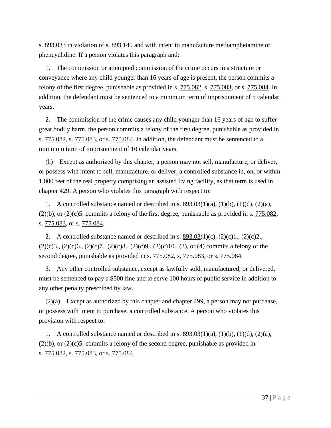s. [893.033](http://www.leg.state.fl.us/Statutes/index.cfm?App_mode=Display_Statute&Search_String=&URL=0800-0899/0893/Sections/0893.033.html) in violation of s. [893.149](http://www.leg.state.fl.us/Statutes/index.cfm?App_mode=Display_Statute&Search_String=&URL=0800-0899/0893/Sections/0893.149.html) and with intent to manufacture methamphetamine or phencyclidine. If a person violates this paragraph and:

1. The commission or attempted commission of the crime occurs in a structure or conveyance where any child younger than 16 years of age is present, the person commits a felony of the first degree, punishable as provided in s. [775.082,](http://www.leg.state.fl.us/Statutes/index.cfm?App_mode=Display_Statute&Search_String=&URL=0700-0799/0775/Sections/0775.082.html) s. [775.083,](http://www.leg.state.fl.us/Statutes/index.cfm?App_mode=Display_Statute&Search_String=&URL=0700-0799/0775/Sections/0775.083.html) or s. [775.084.](http://www.leg.state.fl.us/Statutes/index.cfm?App_mode=Display_Statute&Search_String=&URL=0700-0799/0775/Sections/0775.084.html) In addition, the defendant must be sentenced to a minimum term of imprisonment of 5 calendar years.

2. The commission of the crime causes any child younger than 16 years of age to suffer great bodily harm, the person commits a felony of the first degree, punishable as provided in s. [775.082,](http://www.leg.state.fl.us/Statutes/index.cfm?App_mode=Display_Statute&Search_String=&URL=0700-0799/0775/Sections/0775.082.html) s. [775.083,](http://www.leg.state.fl.us/Statutes/index.cfm?App_mode=Display_Statute&Search_String=&URL=0700-0799/0775/Sections/0775.083.html) or s. [775.084.](http://www.leg.state.fl.us/Statutes/index.cfm?App_mode=Display_Statute&Search_String=&URL=0700-0799/0775/Sections/0775.084.html) In addition, the defendant must be sentenced to a minimum term of imprisonment of 10 calendar years.

(h) Except as authorized by this chapter, a person may not sell, manufacture, or deliver, or possess with intent to sell, manufacture, or deliver, a controlled substance in, on, or within 1,000 feet of the real property comprising an assisted living facility, as that term is used in chapter 429. A person who violates this paragraph with respect to:

1. A controlled substance named or described in s.  $893.03(1)(a)$  $893.03(1)(a)$ ,  $(1)(b)$ ,  $(1)(d)$ ,  $(2)(a)$ ,  $(2)(b)$ , or  $(2)(c)$ 5. commits a felony of the first degree, punishable as provided in s.  $775.082$ , s. [775.083,](http://www.leg.state.fl.us/Statutes/index.cfm?App_mode=Display_Statute&Search_String=&URL=0700-0799/0775/Sections/0775.083.html) or s. [775.084.](http://www.leg.state.fl.us/Statutes/index.cfm?App_mode=Display_Statute&Search_String=&URL=0700-0799/0775/Sections/0775.084.html)

2. A controlled substance named or described in s.  $893.03(1)(c)$  $893.03(1)(c)$ ,  $(2)(c)1$ ,  $(2)(c)2$ .  $(2)(c)3, (2)(c)6, (2)(c)7, (2)(c)8, (2)(c)9, (2)(c)10, (3),$  or (4) commits a felony of the second degree, punishable as provided in s.  $775.082$ , s.  $775.083$ , or s.  $775.084$ .

3. Any other controlled substance, except as lawfully sold, manufactured, or delivered, must be sentenced to pay a \$500 fine and to serve 100 hours of public service in addition to any other penalty prescribed by law.

(2)(a) Except as authorized by this chapter and chapter 499, a person may not purchase, or possess with intent to purchase, a controlled substance. A person who violates this provision with respect to:

1. A controlled substance named or described in s.  $893.03(1)(a)$  $893.03(1)(a)$ ,  $(1)(b)$ ,  $(1)(d)$ ,  $(2)(a)$ ,  $(2)(b)$ , or  $(2)(c)$ 5. commits a felony of the second degree, punishable as provided in s. [775.082,](http://www.leg.state.fl.us/Statutes/index.cfm?App_mode=Display_Statute&Search_String=&URL=0700-0799/0775/Sections/0775.082.html) s. [775.083,](http://www.leg.state.fl.us/Statutes/index.cfm?App_mode=Display_Statute&Search_String=&URL=0700-0799/0775/Sections/0775.083.html) or s. [775.084.](http://www.leg.state.fl.us/Statutes/index.cfm?App_mode=Display_Statute&Search_String=&URL=0700-0799/0775/Sections/0775.084.html)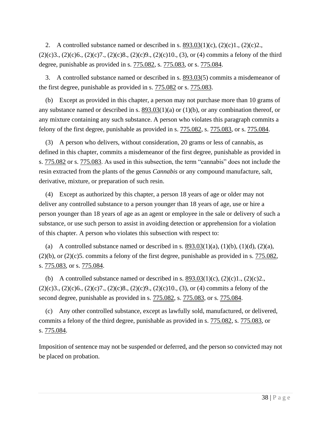2. A controlled substance named or described in s.  $893.03(1)(c)$  $893.03(1)(c)$ ,  $(2)(c)1$ ,  $(2)(c)2$ .  $(2)(c)3, (2)(c)6, (2)(c)7, (2)(c)8, (2)(c)9, (2)(c)10, (3),$  or (4) commits a felony of the third degree, punishable as provided in s. [775.082,](http://www.leg.state.fl.us/Statutes/index.cfm?App_mode=Display_Statute&Search_String=&URL=0700-0799/0775/Sections/0775.082.html) s. [775.083,](http://www.leg.state.fl.us/Statutes/index.cfm?App_mode=Display_Statute&Search_String=&URL=0700-0799/0775/Sections/0775.083.html) or s. [775.084.](http://www.leg.state.fl.us/Statutes/index.cfm?App_mode=Display_Statute&Search_String=&URL=0700-0799/0775/Sections/0775.084.html)

3. A controlled substance named or described in s. [893.03\(](http://www.leg.state.fl.us/Statutes/index.cfm?App_mode=Display_Statute&Search_String=&URL=0800-0899/0893/Sections/0893.03.html)5) commits a misdemeanor of the first degree, punishable as provided in s. [775.082](http://www.leg.state.fl.us/Statutes/index.cfm?App_mode=Display_Statute&Search_String=&URL=0700-0799/0775/Sections/0775.082.html) or s. [775.083.](http://www.leg.state.fl.us/Statutes/index.cfm?App_mode=Display_Statute&Search_String=&URL=0700-0799/0775/Sections/0775.083.html)

(b) Except as provided in this chapter, a person may not purchase more than 10 grams of any substance named or described in s.  $893.03(1)(a)$  $893.03(1)(a)$  or (1)(b), or any combination thereof, or any mixture containing any such substance. A person who violates this paragraph commits a felony of the first degree, punishable as provided in s. [775.082,](http://www.leg.state.fl.us/Statutes/index.cfm?App_mode=Display_Statute&Search_String=&URL=0700-0799/0775/Sections/0775.082.html) s. [775.083,](http://www.leg.state.fl.us/Statutes/index.cfm?App_mode=Display_Statute&Search_String=&URL=0700-0799/0775/Sections/0775.083.html) or s. [775.084.](http://www.leg.state.fl.us/Statutes/index.cfm?App_mode=Display_Statute&Search_String=&URL=0700-0799/0775/Sections/0775.084.html)

(3) A person who delivers, without consideration, 20 grams or less of cannabis, as defined in this chapter, commits a misdemeanor of the first degree, punishable as provided in s. [775.082](http://www.leg.state.fl.us/Statutes/index.cfm?App_mode=Display_Statute&Search_String=&URL=0700-0799/0775/Sections/0775.082.html) or s. [775.083.](http://www.leg.state.fl.us/Statutes/index.cfm?App_mode=Display_Statute&Search_String=&URL=0700-0799/0775/Sections/0775.083.html) As used in this subsection, the term "cannabis" does not include the resin extracted from the plants of the genus *Cannabis* or any compound manufacture, salt, derivative, mixture, or preparation of such resin.

(4) Except as authorized by this chapter, a person 18 years of age or older may not deliver any controlled substance to a person younger than 18 years of age, use or hire a person younger than 18 years of age as an agent or employee in the sale or delivery of such a substance, or use such person to assist in avoiding detection or apprehension for a violation of this chapter. A person who violates this subsection with respect to:

(a) A controlled substance named or described in s.  $893.03(1)(a)$  $893.03(1)(a)$ ,  $(1)(b)$ ,  $(1)(d)$ ,  $(2)(a)$ ,  $(2)(b)$ , or  $(2)(c)$ 5. commits a felony of the first degree, punishable as provided in s.  $775.082$ , s. [775.083,](http://www.leg.state.fl.us/Statutes/index.cfm?App_mode=Display_Statute&Search_String=&URL=0700-0799/0775/Sections/0775.083.html) or s. [775.084.](http://www.leg.state.fl.us/Statutes/index.cfm?App_mode=Display_Statute&Search_String=&URL=0700-0799/0775/Sections/0775.084.html)

(b) A controlled substance named or described in s.  $893.03(1)(c)$  $893.03(1)(c)$ ,  $(2)(c)1$ .,  $(2)(c)2$ .  $(2)(c)3, (2)(c)6, (2)(c)7, (2)(c)8, (2)(c)9, (2)(c)10, (3),$  or (4) commits a felony of the second degree, punishable as provided in s.  $775.082$ , s.  $775.083$ , or s.  $775.084$ .

(c) Any other controlled substance, except as lawfully sold, manufactured, or delivered, commits a felony of the third degree, punishable as provided in s.  $775.082$ , s.  $775.083$ , or s. [775.084.](http://www.leg.state.fl.us/Statutes/index.cfm?App_mode=Display_Statute&Search_String=&URL=0700-0799/0775/Sections/0775.084.html)

Imposition of sentence may not be suspended or deferred, and the person so convicted may not be placed on probation.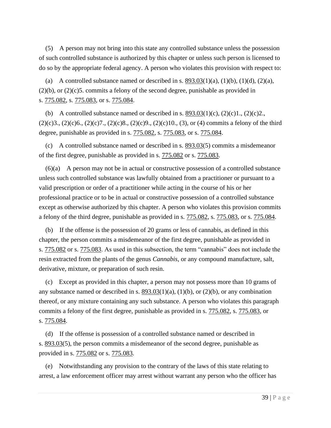(5) A person may not bring into this state any controlled substance unless the possession of such controlled substance is authorized by this chapter or unless such person is licensed to do so by the appropriate federal agency. A person who violates this provision with respect to:

(a) A controlled substance named or described in s.  $893.03(1)(a)$  $893.03(1)(a)$ ,  $(1)(b)$ ,  $(1)(d)$ ,  $(2)(a)$ , (2)(b), or (2)(c)5. commits a felony of the second degree, punishable as provided in s. [775.082,](http://www.leg.state.fl.us/Statutes/index.cfm?App_mode=Display_Statute&Search_String=&URL=0700-0799/0775/Sections/0775.082.html) s. [775.083,](http://www.leg.state.fl.us/Statutes/index.cfm?App_mode=Display_Statute&Search_String=&URL=0700-0799/0775/Sections/0775.083.html) or s. [775.084.](http://www.leg.state.fl.us/Statutes/index.cfm?App_mode=Display_Statute&Search_String=&URL=0700-0799/0775/Sections/0775.084.html)

(b) A controlled substance named or described in s.  $893.03(1)(c)$  $893.03(1)(c)$ ,  $(2)(c)1$ ,  $(2)(c)2$ .  $(2)(c)3, (2)(c)6, (2)(c)7, (2)(c)8, (2)(c)9, (2)(c)10, (3),$  or (4) commits a felony of the third degree, punishable as provided in s. [775.082,](http://www.leg.state.fl.us/Statutes/index.cfm?App_mode=Display_Statute&Search_String=&URL=0700-0799/0775/Sections/0775.082.html) s. [775.083,](http://www.leg.state.fl.us/Statutes/index.cfm?App_mode=Display_Statute&Search_String=&URL=0700-0799/0775/Sections/0775.083.html) or s. [775.084.](http://www.leg.state.fl.us/Statutes/index.cfm?App_mode=Display_Statute&Search_String=&URL=0700-0799/0775/Sections/0775.084.html)

(c) A controlled substance named or described in s. [893.03\(](http://www.leg.state.fl.us/Statutes/index.cfm?App_mode=Display_Statute&Search_String=&URL=0800-0899/0893/Sections/0893.03.html)5) commits a misdemeanor of the first degree, punishable as provided in s. [775.082](http://www.leg.state.fl.us/Statutes/index.cfm?App_mode=Display_Statute&Search_String=&URL=0700-0799/0775/Sections/0775.082.html) or s. [775.083.](http://www.leg.state.fl.us/Statutes/index.cfm?App_mode=Display_Statute&Search_String=&URL=0700-0799/0775/Sections/0775.083.html)

(6)(a) A person may not be in actual or constructive possession of a controlled substance unless such controlled substance was lawfully obtained from a practitioner or pursuant to a valid prescription or order of a practitioner while acting in the course of his or her professional practice or to be in actual or constructive possession of a controlled substance except as otherwise authorized by this chapter. A person who violates this provision commits a felony of the third degree, punishable as provided in s. [775.082,](http://www.leg.state.fl.us/Statutes/index.cfm?App_mode=Display_Statute&Search_String=&URL=0700-0799/0775/Sections/0775.082.html) s. [775.083,](http://www.leg.state.fl.us/Statutes/index.cfm?App_mode=Display_Statute&Search_String=&URL=0700-0799/0775/Sections/0775.083.html) or s. [775.084.](http://www.leg.state.fl.us/Statutes/index.cfm?App_mode=Display_Statute&Search_String=&URL=0700-0799/0775/Sections/0775.084.html)

(b) If the offense is the possession of 20 grams or less of cannabis, as defined in this chapter, the person commits a misdemeanor of the first degree, punishable as provided in s. [775.082](http://www.leg.state.fl.us/Statutes/index.cfm?App_mode=Display_Statute&Search_String=&URL=0700-0799/0775/Sections/0775.082.html) or s. [775.083.](http://www.leg.state.fl.us/Statutes/index.cfm?App_mode=Display_Statute&Search_String=&URL=0700-0799/0775/Sections/0775.083.html) As used in this subsection, the term "cannabis" does not include the resin extracted from the plants of the genus *Cannabis*, or any compound manufacture, salt, derivative, mixture, or preparation of such resin.

(c) Except as provided in this chapter, a person may not possess more than 10 grams of any substance named or described in s.  $893.03(1)(a)$  $893.03(1)(a)$ ,  $(1)(b)$ , or  $(2)(b)$ , or any combination thereof, or any mixture containing any such substance. A person who violates this paragraph commits a felony of the first degree, punishable as provided in s. [775.082,](http://www.leg.state.fl.us/Statutes/index.cfm?App_mode=Display_Statute&Search_String=&URL=0700-0799/0775/Sections/0775.082.html) s. [775.083,](http://www.leg.state.fl.us/Statutes/index.cfm?App_mode=Display_Statute&Search_String=&URL=0700-0799/0775/Sections/0775.083.html) or s. [775.084.](http://www.leg.state.fl.us/Statutes/index.cfm?App_mode=Display_Statute&Search_String=&URL=0700-0799/0775/Sections/0775.084.html)

(d) If the offense is possession of a controlled substance named or described in s. [893.03\(](http://www.leg.state.fl.us/Statutes/index.cfm?App_mode=Display_Statute&Search_String=&URL=0800-0899/0893/Sections/0893.03.html)5), the person commits a misdemeanor of the second degree, punishable as provided in s. [775.082](http://www.leg.state.fl.us/Statutes/index.cfm?App_mode=Display_Statute&Search_String=&URL=0700-0799/0775/Sections/0775.082.html) or s. [775.083.](http://www.leg.state.fl.us/Statutes/index.cfm?App_mode=Display_Statute&Search_String=&URL=0700-0799/0775/Sections/0775.083.html)

(e) Notwithstanding any provision to the contrary of the laws of this state relating to arrest, a law enforcement officer may arrest without warrant any person who the officer has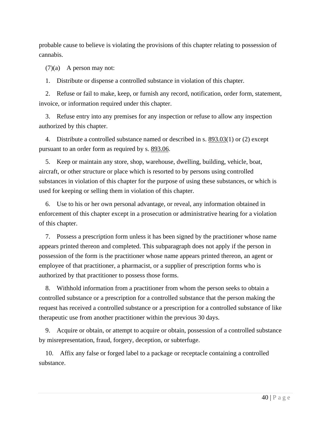probable cause to believe is violating the provisions of this chapter relating to possession of cannabis.

(7)(a) A person may not:

1. Distribute or dispense a controlled substance in violation of this chapter.

2. Refuse or fail to make, keep, or furnish any record, notification, order form, statement, invoice, or information required under this chapter.

3. Refuse entry into any premises for any inspection or refuse to allow any inspection authorized by this chapter.

4. Distribute a controlled substance named or described in s. [893.03\(](http://www.leg.state.fl.us/Statutes/index.cfm?App_mode=Display_Statute&Search_String=&URL=0800-0899/0893/Sections/0893.03.html)1) or (2) except pursuant to an order form as required by s. [893.06.](http://www.leg.state.fl.us/Statutes/index.cfm?App_mode=Display_Statute&Search_String=&URL=0800-0899/0893/Sections/0893.06.html)

5. Keep or maintain any store, shop, warehouse, dwelling, building, vehicle, boat, aircraft, or other structure or place which is resorted to by persons using controlled substances in violation of this chapter for the purpose of using these substances, or which is used for keeping or selling them in violation of this chapter.

6. Use to his or her own personal advantage, or reveal, any information obtained in enforcement of this chapter except in a prosecution or administrative hearing for a violation of this chapter.

7. Possess a prescription form unless it has been signed by the practitioner whose name appears printed thereon and completed. This subparagraph does not apply if the person in possession of the form is the practitioner whose name appears printed thereon, an agent or employee of that practitioner, a pharmacist, or a supplier of prescription forms who is authorized by that practitioner to possess those forms.

8. Withhold information from a practitioner from whom the person seeks to obtain a controlled substance or a prescription for a controlled substance that the person making the request has received a controlled substance or a prescription for a controlled substance of like therapeutic use from another practitioner within the previous 30 days.

9. Acquire or obtain, or attempt to acquire or obtain, possession of a controlled substance by misrepresentation, fraud, forgery, deception, or subterfuge.

10. Affix any false or forged label to a package or receptacle containing a controlled substance.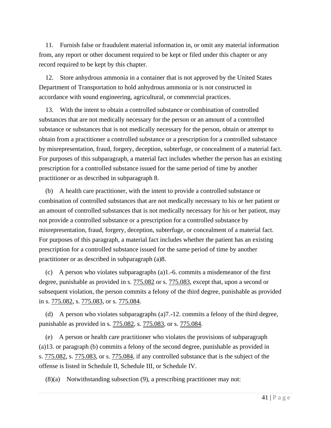11. Furnish false or fraudulent material information in, or omit any material information from, any report or other document required to be kept or filed under this chapter or any record required to be kept by this chapter.

12. Store anhydrous ammonia in a container that is not approved by the United States Department of Transportation to hold anhydrous ammonia or is not constructed in accordance with sound engineering, agricultural, or commercial practices.

13. With the intent to obtain a controlled substance or combination of controlled substances that are not medically necessary for the person or an amount of a controlled substance or substances that is not medically necessary for the person, obtain or attempt to obtain from a practitioner a controlled substance or a prescription for a controlled substance by misrepresentation, fraud, forgery, deception, subterfuge, or concealment of a material fact. For purposes of this subparagraph, a material fact includes whether the person has an existing prescription for a controlled substance issued for the same period of time by another practitioner or as described in subparagraph 8.

(b) A health care practitioner, with the intent to provide a controlled substance or combination of controlled substances that are not medically necessary to his or her patient or an amount of controlled substances that is not medically necessary for his or her patient, may not provide a controlled substance or a prescription for a controlled substance by misrepresentation, fraud, forgery, deception, subterfuge, or concealment of a material fact. For purposes of this paragraph, a material fact includes whether the patient has an existing prescription for a controlled substance issued for the same period of time by another practitioner or as described in subparagraph (a)8.

(c) A person who violates subparagraphs (a)1.-6. commits a misdemeanor of the first degree, punishable as provided in s.  $775.082$  or s.  $775.083$ , except that, upon a second or subsequent violation, the person commits a felony of the third degree, punishable as provided in s. [775.082,](http://www.leg.state.fl.us/Statutes/index.cfm?App_mode=Display_Statute&Search_String=&URL=0700-0799/0775/Sections/0775.082.html) s. [775.083,](http://www.leg.state.fl.us/Statutes/index.cfm?App_mode=Display_Statute&Search_String=&URL=0700-0799/0775/Sections/0775.083.html) or s. [775.084.](http://www.leg.state.fl.us/Statutes/index.cfm?App_mode=Display_Statute&Search_String=&URL=0700-0799/0775/Sections/0775.084.html)

(d) A person who violates subparagraphs  $(a)$ 7.-12. commits a felony of the third degree, punishable as provided in s. [775.082,](http://www.leg.state.fl.us/Statutes/index.cfm?App_mode=Display_Statute&Search_String=&URL=0700-0799/0775/Sections/0775.082.html) s. [775.083,](http://www.leg.state.fl.us/Statutes/index.cfm?App_mode=Display_Statute&Search_String=&URL=0700-0799/0775/Sections/0775.083.html) or s. [775.084.](http://www.leg.state.fl.us/Statutes/index.cfm?App_mode=Display_Statute&Search_String=&URL=0700-0799/0775/Sections/0775.084.html)

(e) A person or health care practitioner who violates the provisions of subparagraph (a)13. or paragraph (b) commits a felony of the second degree, punishable as provided in s. [775.082,](http://www.leg.state.fl.us/Statutes/index.cfm?App_mode=Display_Statute&Search_String=&URL=0700-0799/0775/Sections/0775.082.html) s. [775.083,](http://www.leg.state.fl.us/Statutes/index.cfm?App_mode=Display_Statute&Search_String=&URL=0700-0799/0775/Sections/0775.083.html) or s. [775.084,](http://www.leg.state.fl.us/Statutes/index.cfm?App_mode=Display_Statute&Search_String=&URL=0700-0799/0775/Sections/0775.084.html) if any controlled substance that is the subject of the offense is listed in Schedule II, Schedule III, or Schedule IV.

(8)(a) Notwithstanding subsection (9), a prescribing practitioner may not: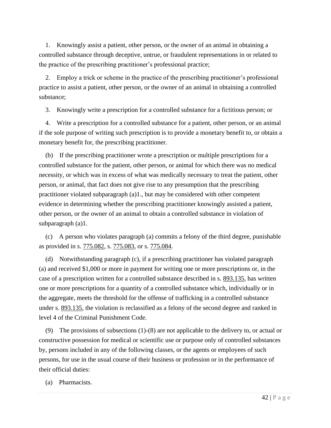1. Knowingly assist a patient, other person, or the owner of an animal in obtaining a controlled substance through deceptive, untrue, or fraudulent representations in or related to the practice of the prescribing practitioner's professional practice;

2. Employ a trick or scheme in the practice of the prescribing practitioner's professional practice to assist a patient, other person, or the owner of an animal in obtaining a controlled substance;

3. Knowingly write a prescription for a controlled substance for a fictitious person; or

4. Write a prescription for a controlled substance for a patient, other person, or an animal if the sole purpose of writing such prescription is to provide a monetary benefit to, or obtain a monetary benefit for, the prescribing practitioner.

(b) If the prescribing practitioner wrote a prescription or multiple prescriptions for a controlled substance for the patient, other person, or animal for which there was no medical necessity, or which was in excess of what was medically necessary to treat the patient, other person, or animal, that fact does not give rise to any presumption that the prescribing practitioner violated subparagraph (a)1., but may be considered with other competent evidence in determining whether the prescribing practitioner knowingly assisted a patient, other person, or the owner of an animal to obtain a controlled substance in violation of subparagraph (a)1.

(c) A person who violates paragraph (a) commits a felony of the third degree, punishable as provided in s. [775.082,](http://www.leg.state.fl.us/Statutes/index.cfm?App_mode=Display_Statute&Search_String=&URL=0700-0799/0775/Sections/0775.082.html) s. [775.083,](http://www.leg.state.fl.us/Statutes/index.cfm?App_mode=Display_Statute&Search_String=&URL=0700-0799/0775/Sections/0775.083.html) or s. [775.084.](http://www.leg.state.fl.us/Statutes/index.cfm?App_mode=Display_Statute&Search_String=&URL=0700-0799/0775/Sections/0775.084.html)

(d) Notwithstanding paragraph (c), if a prescribing practitioner has violated paragraph (a) and received \$1,000 or more in payment for writing one or more prescriptions or, in the case of a prescription written for a controlled substance described in s. [893.135,](http://www.leg.state.fl.us/Statutes/index.cfm?App_mode=Display_Statute&Search_String=&URL=0800-0899/0893/Sections/0893.135.html) has written one or more prescriptions for a quantity of a controlled substance which, individually or in the aggregate, meets the threshold for the offense of trafficking in a controlled substance under s. [893.135,](http://www.leg.state.fl.us/Statutes/index.cfm?App_mode=Display_Statute&Search_String=&URL=0800-0899/0893/Sections/0893.135.html) the violation is reclassified as a felony of the second degree and ranked in level 4 of the Criminal Punishment Code.

(9) The provisions of subsections (1)-(8) are not applicable to the delivery to, or actual or constructive possession for medical or scientific use or purpose only of controlled substances by, persons included in any of the following classes, or the agents or employees of such persons, for use in the usual course of their business or profession or in the performance of their official duties:

(a) Pharmacists.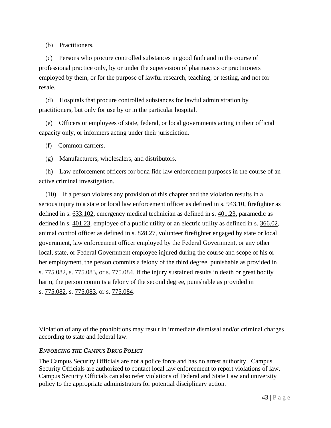(b) Practitioners.

(c) Persons who procure controlled substances in good faith and in the course of professional practice only, by or under the supervision of pharmacists or practitioners employed by them, or for the purpose of lawful research, teaching, or testing, and not for resale.

(d) Hospitals that procure controlled substances for lawful administration by practitioners, but only for use by or in the particular hospital.

(e) Officers or employees of state, federal, or local governments acting in their official capacity only, or informers acting under their jurisdiction.

(f) Common carriers.

(g) Manufacturers, wholesalers, and distributors.

(h) Law enforcement officers for bona fide law enforcement purposes in the course of an active criminal investigation.

(10) If a person violates any provision of this chapter and the violation results in a serious injury to a state or local law enforcement officer as defined in s.  $943.10$ , firefighter as defined in s. [633.102,](http://www.leg.state.fl.us/Statutes/index.cfm?App_mode=Display_Statute&Search_String=&URL=0600-0699/0633/Sections/0633.102.html) emergency medical technician as defined in s. [401.23,](http://www.leg.state.fl.us/Statutes/index.cfm?App_mode=Display_Statute&Search_String=&URL=0400-0499/0401/Sections/0401.23.html) paramedic as defined in s. [401.23,](http://www.leg.state.fl.us/Statutes/index.cfm?App_mode=Display_Statute&Search_String=&URL=0400-0499/0401/Sections/0401.23.html) employee of a public utility or an electric utility as defined in s. [366.02,](http://www.leg.state.fl.us/Statutes/index.cfm?App_mode=Display_Statute&Search_String=&URL=0300-0399/0366/Sections/0366.02.html) animal control officer as defined in s. [828.27,](http://www.leg.state.fl.us/Statutes/index.cfm?App_mode=Display_Statute&Search_String=&URL=0800-0899/0828/Sections/0828.27.html) volunteer firefighter engaged by state or local government, law enforcement officer employed by the Federal Government, or any other local, state, or Federal Government employee injured during the course and scope of his or her employment, the person commits a felony of the third degree, punishable as provided in s. [775.082,](http://www.leg.state.fl.us/Statutes/index.cfm?App_mode=Display_Statute&Search_String=&URL=0700-0799/0775/Sections/0775.082.html) s. [775.083,](http://www.leg.state.fl.us/Statutes/index.cfm?App_mode=Display_Statute&Search_String=&URL=0700-0799/0775/Sections/0775.083.html) or s. [775.084.](http://www.leg.state.fl.us/Statutes/index.cfm?App_mode=Display_Statute&Search_String=&URL=0700-0799/0775/Sections/0775.084.html) If the injury sustained results in death or great bodily harm, the person commits a felony of the second degree, punishable as provided in s. [775.082,](http://www.leg.state.fl.us/Statutes/index.cfm?App_mode=Display_Statute&Search_String=&URL=0700-0799/0775/Sections/0775.082.html) s. [775.083,](http://www.leg.state.fl.us/Statutes/index.cfm?App_mode=Display_Statute&Search_String=&URL=0700-0799/0775/Sections/0775.083.html) or s. [775.084.](http://www.leg.state.fl.us/Statutes/index.cfm?App_mode=Display_Statute&Search_String=&URL=0700-0799/0775/Sections/0775.084.html)

Violation of any of the prohibitions may result in immediate dismissal and/or criminal charges according to state and federal law.

## *ENFORCING THE CAMPUS DRUG POLICY*

The Campus Security Officials are not a police force and has no arrest authority. Campus Security Officials are authorized to contact local law enforcement to report violations of law. Campus Security Officials can also refer violations of Federal and State Law and university policy to the appropriate administrators for potential disciplinary action.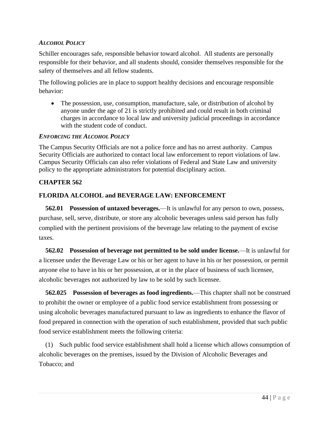## *ALCOHOL POLICY*

Schiller encourages safe, responsible behavior toward alcohol. All students are personally responsible for their behavior, and all students should, consider themselves responsible for the safety of themselves and all fellow students.

The following policies are in place to support healthy decisions and encourage responsible behavior:

• The possession, use, consumption, manufacture, sale, or distribution of alcohol by anyone under the age of 21 is strictly prohibited and could result in both criminal charges in accordance to local law and university judicial proceedings in accordance with the student code of conduct.

## *ENFORCING THE ALCOHOL POLICY*

The Campus Security Officials are not a police force and has no arrest authority. Campus Security Officials are authorized to contact local law enforcement to report violations of law. Campus Security Officials can also refer violations of Federal and State Law and university policy to the appropriate administrators for potential disciplinary action.

## **CHAPTER 562**

## **FLORIDA ALCOHOL and BEVERAGE LAW: ENFORCEMENT**

**562.01 Possession of untaxed beverages.**—It is unlawful for any person to own, possess, purchase, sell, serve, distribute, or store any alcoholic beverages unless said person has fully complied with the pertinent provisions of the beverage law relating to the payment of excise taxes.

**562.02 Possession of beverage not permitted to be sold under license.**—It is unlawful for a licensee under the Beverage Law or his or her agent to have in his or her possession, or permit anyone else to have in his or her possession, at or in the place of business of such licensee, alcoholic beverages not authorized by law to be sold by such licensee.

**562.025 Possession of beverages as food ingredients.**—This chapter shall not be construed to prohibit the owner or employee of a public food service establishment from possessing or using alcoholic beverages manufactured pursuant to law as ingredients to enhance the flavor of food prepared in connection with the operation of such establishment, provided that such public food service establishment meets the following criteria:

(1) Such public food service establishment shall hold a license which allows consumption of alcoholic beverages on the premises, issued by the Division of Alcoholic Beverages and Tobacco; and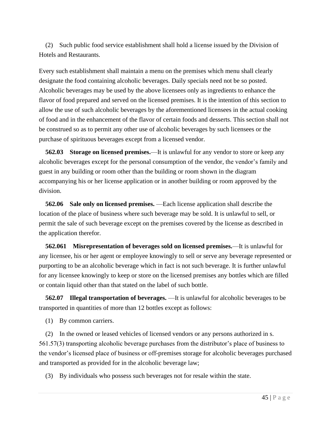(2) Such public food service establishment shall hold a license issued by the Division of Hotels and Restaurants.

Every such establishment shall maintain a menu on the premises which menu shall clearly designate the food containing alcoholic beverages. Daily specials need not be so posted. Alcoholic beverages may be used by the above licensees only as ingredients to enhance the flavor of food prepared and served on the licensed premises. It is the intention of this section to allow the use of such alcoholic beverages by the aforementioned licensees in the actual cooking of food and in the enhancement of the flavor of certain foods and desserts. This section shall not be construed so as to permit any other use of alcoholic beverages by such licensees or the purchase of spirituous beverages except from a licensed vendor.

**562.03 Storage on licensed premises.**—It is unlawful for any vendor to store or keep any alcoholic beverages except for the personal consumption of the vendor, the vendor's family and guest in any building or room other than the building or room shown in the diagram accompanying his or her license application or in another building or room approved by the division.

**562.06 Sale only on licensed premises.** —Each license application shall describe the location of the place of business where such beverage may be sold. It is unlawful to sell, or permit the sale of such beverage except on the premises covered by the license as described in the application therefor.

**562.061 Misrepresentation of beverages sold on licensed premises.**—It is unlawful for any licensee, his or her agent or employee knowingly to sell or serve any beverage represented or purporting to be an alcoholic beverage which in fact is not such beverage. It is further unlawful for any licensee knowingly to keep or store on the licensed premises any bottles which are filled or contain liquid other than that stated on the label of such bottle.

**562.07 Illegal transportation of beverages.** —It is unlawful for alcoholic beverages to be transported in quantities of more than 12 bottles except as follows:

(1) By common carriers.

(2) In the owned or leased vehicles of licensed vendors or any persons authorized in s. 561.57(3) transporting alcoholic beverage purchases from the distributor's place of business to the vendor's licensed place of business or off-premises storage for alcoholic beverages purchased and transported as provided for in the alcoholic beverage law;

(3) By individuals who possess such beverages not for resale within the state.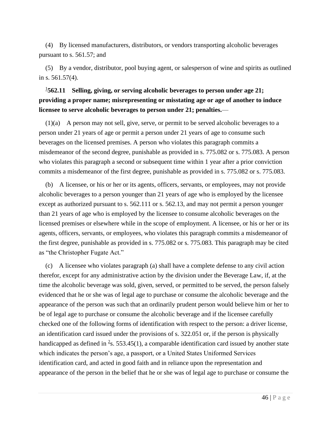(4) By licensed manufacturers, distributors, or vendors transporting alcoholic beverages pursuant to s. 561.57; and

(5) By a vendor, distributor, pool buying agent, or salesperson of wine and spirits as outlined in s. 561.57(4).

# [1](http://www.leg.state.fl.us/Statutes/index.cfm?App_mode=Display_Statute&URL=0500-0599/0562/0562.html#1) **562.11 Selling, giving, or serving alcoholic beverages to person under age 21; providing a proper name; misrepresenting or misstating age or age of another to induce licensee to serve alcoholic beverages to person under 21; penalties.**—

(1)(a) A person may not sell, give, serve, or permit to be served alcoholic beverages to a person under 21 years of age or permit a person under 21 years of age to consume such beverages on the licensed premises. A person who violates this paragraph commits a misdemeanor of the second degree, punishable as provided in s. 775.082 or s. 775.083. A person who violates this paragraph a second or subsequent time within 1 year after a prior conviction commits a misdemeanor of the first degree, punishable as provided in s. 775.082 or s. 775.083.

(b) A licensee, or his or her or its agents, officers, servants, or employees, may not provide alcoholic beverages to a person younger than 21 years of age who is employed by the licensee except as authorized pursuant to s. 562.111 or s. 562.13, and may not permit a person younger than 21 years of age who is employed by the licensee to consume alcoholic beverages on the licensed premises or elsewhere while in the scope of employment. A licensee, or his or her or its agents, officers, servants, or employees, who violates this paragraph commits a misdemeanor of the first degree, punishable as provided in s. 775.082 or s. 775.083. This paragraph may be cited as "the Christopher Fugate Act."

(c) A licensee who violates paragraph (a) shall have a complete defense to any civil action therefor, except for any administrative action by the division under the Beverage Law, if, at the time the alcoholic beverage was sold, given, served, or permitted to be served, the person falsely evidenced that he or she was of legal age to purchase or consume the alcoholic beverage and the appearance of the person was such that an ordinarily prudent person would believe him or her to be of legal age to purchase or consume the alcoholic beverage and if the licensee carefully checked one of the following forms of identification with respect to the person: a driver license, an identification card issued under the provisions of s. 322.051 or, if the person is physically handicapped as defined in  $\frac{2}{5}$  $\frac{2}{5}$  $\frac{2}{5}$ , 553.45(1), a comparable identification card issued by another state which indicates the person's age, a passport, or a United States Uniformed Services identification card, and acted in good faith and in reliance upon the representation and appearance of the person in the belief that he or she was of legal age to purchase or consume the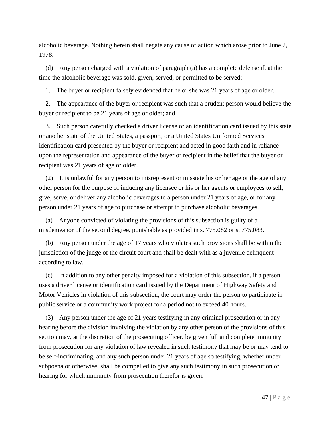alcoholic beverage. Nothing herein shall negate any cause of action which arose prior to June 2, 1978.

(d) Any person charged with a violation of paragraph (a) has a complete defense if, at the time the alcoholic beverage was sold, given, served, or permitted to be served:

1. The buyer or recipient falsely evidenced that he or she was 21 years of age or older.

2. The appearance of the buyer or recipient was such that a prudent person would believe the buyer or recipient to be 21 years of age or older; and

3. Such person carefully checked a driver license or an identification card issued by this state or another state of the United States, a passport, or a United States Uniformed Services identification card presented by the buyer or recipient and acted in good faith and in reliance upon the representation and appearance of the buyer or recipient in the belief that the buyer or recipient was 21 years of age or older.

(2) It is unlawful for any person to misrepresent or misstate his or her age or the age of any other person for the purpose of inducing any licensee or his or her agents or employees to sell, give, serve, or deliver any alcoholic beverages to a person under 21 years of age, or for any person under 21 years of age to purchase or attempt to purchase alcoholic beverages.

(a) Anyone convicted of violating the provisions of this subsection is guilty of a misdemeanor of the second degree, punishable as provided in s. 775.082 or s. 775.083.

(b) Any person under the age of 17 years who violates such provisions shall be within the jurisdiction of the judge of the circuit court and shall be dealt with as a juvenile delinquent according to law.

(c) In addition to any other penalty imposed for a violation of this subsection, if a person uses a driver license or identification card issued by the Department of Highway Safety and Motor Vehicles in violation of this subsection, the court may order the person to participate in public service or a community work project for a period not to exceed 40 hours.

(3) Any person under the age of 21 years testifying in any criminal prosecution or in any hearing before the division involving the violation by any other person of the provisions of this section may, at the discretion of the prosecuting officer, be given full and complete immunity from prosecution for any violation of law revealed in such testimony that may be or may tend to be self-incriminating, and any such person under 21 years of age so testifying, whether under subpoena or otherwise, shall be compelled to give any such testimony in such prosecution or hearing for which immunity from prosecution therefor is given.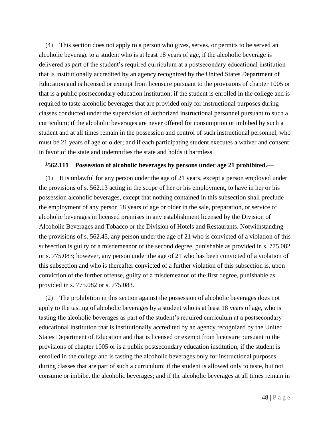(4) This section does not apply to a person who gives, serves, or permits to be served an alcoholic beverage to a student who is at least 18 years of age, if the alcoholic beverage is delivered as part of the student's required curriculum at a postsecondary educational institution that is institutionally accredited by an agency recognized by the United States Department of Education and is licensed or exempt from licensure pursuant to the provisions of chapter 1005 or that is a public postsecondary education institution; if the student is enrolled in the college and is required to taste alcoholic beverages that are provided only for instructional purposes during classes conducted under the supervision of authorized instructional personnel pursuant to such a curriculum; if the alcoholic beverages are never offered for consumption or imbibed by such a student and at all times remain in the possession and control of such instructional personnel, who must be 21 years of age or older; and if each participating student executes a waiver and consent in favor of the state and indemnifies the state and holds it harmless.

## [1](http://www.leg.state.fl.us/Statutes/index.cfm?App_mode=Display_Statute&URL=0500-0599/0562/0562.html#1) **562.111 Possession of alcoholic beverages by persons under age 21 prohibited.**—

(1) It is unlawful for any person under the age of 21 years, except a person employed under the provisions of s. 562.13 acting in the scope of her or his employment, to have in her or his possession alcoholic beverages, except that nothing contained in this subsection shall preclude the employment of any person 18 years of age or older in the sale, preparation, or service of alcoholic beverages in licensed premises in any establishment licensed by the Division of Alcoholic Beverages and Tobacco or the Division of Hotels and Restaurants. Notwithstanding the provisions of s. 562.45, any person under the age of 21 who is convicted of a violation of this subsection is guilty of a misdemeanor of the second degree, punishable as provided in s. 775.082 or s. 775.083; however, any person under the age of 21 who has been convicted of a violation of this subsection and who is thereafter convicted of a further violation of this subsection is, upon conviction of the further offense, guilty of a misdemeanor of the first degree, punishable as provided in s. 775.082 or s. 775.083.

(2) The prohibition in this section against the possession of alcoholic beverages does not apply to the tasting of alcoholic beverages by a student who is at least 18 years of age, who is tasting the alcoholic beverages as part of the student's required curriculum at a postsecondary educational institution that is institutionally accredited by an agency recognized by the United States Department of Education and that is licensed or exempt from licensure pursuant to the provisions of chapter 1005 or is a public postsecondary education institution; if the student is enrolled in the college and is tasting the alcoholic beverages only for instructional purposes during classes that are part of such a curriculum; if the student is allowed only to taste, but not consume or imbibe, the alcoholic beverages; and if the alcoholic beverages at all times remain in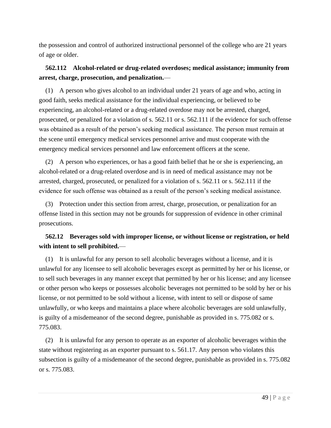the possession and control of authorized instructional personnel of the college who are 21 years of age or older.

# **562.112 Alcohol-related or drug-related overdoses; medical assistance; immunity from arrest, charge, prosecution, and penalization.**—

(1) A person who gives alcohol to an individual under 21 years of age and who, acting in good faith, seeks medical assistance for the individual experiencing, or believed to be experiencing, an alcohol-related or a drug-related overdose may not be arrested, charged, prosecuted, or penalized for a violation of s. 562.11 or s. 562.111 if the evidence for such offense was obtained as a result of the person's seeking medical assistance. The person must remain at the scene until emergency medical services personnel arrive and must cooperate with the emergency medical services personnel and law enforcement officers at the scene.

(2) A person who experiences, or has a good faith belief that he or she is experiencing, an alcohol-related or a drug-related overdose and is in need of medical assistance may not be arrested, charged, prosecuted, or penalized for a violation of s. 562.11 or s. 562.111 if the evidence for such offense was obtained as a result of the person's seeking medical assistance.

(3) Protection under this section from arrest, charge, prosecution, or penalization for an offense listed in this section may not be grounds for suppression of evidence in other criminal prosecutions.

# **562.12 Beverages sold with improper license, or without license or registration, or held with intent to sell prohibited.**—

(1) It is unlawful for any person to sell alcoholic beverages without a license, and it is unlawful for any licensee to sell alcoholic beverages except as permitted by her or his license, or to sell such beverages in any manner except that permitted by her or his license; and any licensee or other person who keeps or possesses alcoholic beverages not permitted to be sold by her or his license, or not permitted to be sold without a license, with intent to sell or dispose of same unlawfully, or who keeps and maintains a place where alcoholic beverages are sold unlawfully, is guilty of a misdemeanor of the second degree, punishable as provided in s. 775.082 or s. 775.083.

(2) It is unlawful for any person to operate as an exporter of alcoholic beverages within the state without registering as an exporter pursuant to s. 561.17. Any person who violates this subsection is guilty of a misdemeanor of the second degree, punishable as provided in s. 775.082 or s. 775.083.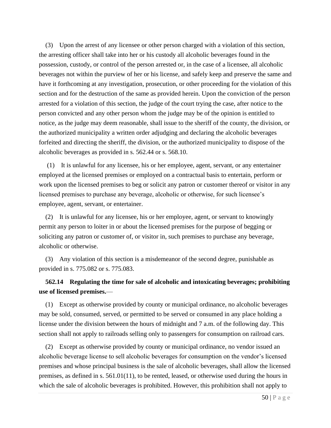(3) Upon the arrest of any licensee or other person charged with a violation of this section, the arresting officer shall take into her or his custody all alcoholic beverages found in the possession, custody, or control of the person arrested or, in the case of a licensee, all alcoholic beverages not within the purview of her or his license, and safely keep and preserve the same and have it forthcoming at any investigation, prosecution, or other proceeding for the violation of this section and for the destruction of the same as provided herein. Upon the conviction of the person arrested for a violation of this section, the judge of the court trying the case, after notice to the person convicted and any other person whom the judge may be of the opinion is entitled to notice, as the judge may deem reasonable, shall issue to the sheriff of the county, the division, or the authorized municipality a written order adjudging and declaring the alcoholic beverages forfeited and directing the sheriff, the division, or the authorized municipality to dispose of the alcoholic beverages as provided in s. 562.44 or s. 568.10.

(1) It is unlawful for any licensee, his or her employee, agent, servant, or any entertainer employed at the licensed premises or employed on a contractual basis to entertain, perform or work upon the licensed premises to beg or solicit any patron or customer thereof or visitor in any licensed premises to purchase any beverage, alcoholic or otherwise, for such licensee's employee, agent, servant, or entertainer.

(2) It is unlawful for any licensee, his or her employee, agent, or servant to knowingly permit any person to loiter in or about the licensed premises for the purpose of begging or soliciting any patron or customer of, or visitor in, such premises to purchase any beverage, alcoholic or otherwise.

(3) Any violation of this section is a misdemeanor of the second degree, punishable as provided in s. 775.082 or s. 775.083.

# **562.14 Regulating the time for sale of alcoholic and intoxicating beverages; prohibiting use of licensed premises.**—

(1) Except as otherwise provided by county or municipal ordinance, no alcoholic beverages may be sold, consumed, served, or permitted to be served or consumed in any place holding a license under the division between the hours of midnight and 7 a.m. of the following day. This section shall not apply to railroads selling only to passengers for consumption on railroad cars.

(2) Except as otherwise provided by county or municipal ordinance, no vendor issued an alcoholic beverage license to sell alcoholic beverages for consumption on the vendor's licensed premises and whose principal business is the sale of alcoholic beverages, shall allow the licensed premises, as defined in s. 561.01(11), to be rented, leased, or otherwise used during the hours in which the sale of alcoholic beverages is prohibited. However, this prohibition shall not apply to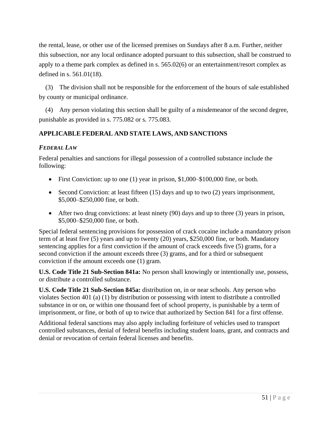the rental, lease, or other use of the licensed premises on Sundays after 8 a.m. Further, neither this subsection, nor any local ordinance adopted pursuant to this subsection, shall be construed to apply to a theme park complex as defined in s. 565.02(6) or an entertainment/resort complex as defined in s. 561.01(18).

(3) The division shall not be responsible for the enforcement of the hours of sale established by county or municipal ordinance.

(4) Any person violating this section shall be guilty of a misdemeanor of the second degree, punishable as provided in s. 775.082 or s. 775.083.

## **APPLICABLE FEDERAL AND STATE LAWS, AND SANCTIONS**

## *FEDERAL LAW*

Federal penalties and sanctions for illegal possession of a controlled substance include the following:

- First Conviction: up to one  $(1)$  year in prison, \$1,000–\$100,000 fine, or both.
- Second Conviction: at least fifteen (15) days and up to two (2) years imprisonment, \$5,000–\$250,000 fine, or both.
- After two drug convictions: at least ninety (90) days and up to three (3) years in prison, \$5,000–\$250,000 fine, or both.

Special federal sentencing provisions for possession of crack cocaine include a mandatory prison term of at least five (5) years and up to twenty (20) years, \$250,000 fine, or both. Mandatory sentencing applies for a first conviction if the amount of crack exceeds five (5) grams, for a second conviction if the amount exceeds three (3) grams, and for a third or subsequent conviction if the amount exceeds one (1) gram.

**U.S. Code Title 21 Sub-Section 841a:** No person shall knowingly or intentionally use, possess, or distribute a controlled substance.

**U.S. Code Title 21 Sub-Section 845a:** distribution on, in or near schools. Any person who violates Section 401 (a) (1) by distribution or possessing with intent to distribute a controlled substance in or on, or within one thousand feet of school property, is punishable by a term of imprisonment, or fine, or both of up to twice that authorized by Section 841 for a first offense.

Additional federal sanctions may also apply including forfeiture of vehicles used to transport controlled substances, denial of federal benefits including student loans, grant, and contracts and denial or revocation of certain federal licenses and benefits.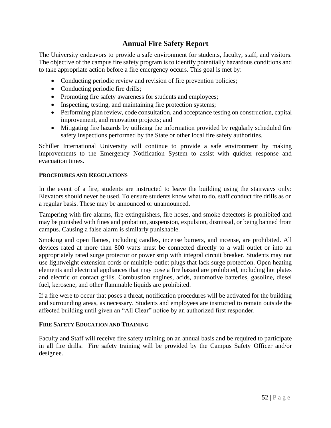# **Annual Fire Safety Report**

The University endeavors to provide a safe environment for students, faculty, staff, and visitors. The objective of the campus fire safety program is to identify potentially hazardous conditions and to take appropriate action before a fire emergency occurs. This goal is met by:

- Conducting periodic review and revision of fire prevention policies;
- Conducting periodic fire drills;
- Promoting fire safety awareness for students and employees;
- Inspecting, testing, and maintaining fire protection systems;
- Performing plan review, code consultation, and acceptance testing on construction, capital improvement, and renovation projects; and
- Mitigating fire hazards by utilizing the information provided by regularly scheduled fire safety inspections performed by the State or other local fire safety authorities.

Schiller International University will continue to provide a safe environment by making improvements to the Emergency Notification System to assist with quicker response and evacuation times.

## **PROCEDURES AND REGULATIONS**

In the event of a fire, students are instructed to leave the building using the stairways only: Elevators should never be used. To ensure students know what to do, staff conduct fire drills as on a regular basis. These may be announced or unannounced.

Tampering with fire alarms, fire extinguishers, fire hoses, and smoke detectors is prohibited and may be punished with fines and probation, suspension, expulsion, dismissal, or being banned from campus. Causing a false alarm is similarly punishable.

Smoking and open flames, including candles, incense burners, and incense, are prohibited. All devices rated at more than 800 watts must be connected directly to a wall outlet or into an appropriately rated surge protector or power strip with integral circuit breaker. Students may not use lightweight extension cords or multiple-outlet plugs that lack surge protection. Open heating elements and electrical appliances that may pose a fire hazard are prohibited, including hot plates and electric or contact grills. Combustion engines, acids, automotive batteries, gasoline, diesel fuel, kerosene, and other flammable liquids are prohibited.

If a fire were to occur that poses a threat, notification procedures will be activated for the building and surrounding areas, as necessary. Students and employees are instructed to remain outside the affected building until given an "All Clear" notice by an authorized first responder.

## **FIRE SAFETY EDUCATION AND TRAINING**

Faculty and Staff will receive fire safety training on an annual basis and be required to participate in all fire drills. Fire safety training will be provided by the Campus Safety Officer and/or designee.